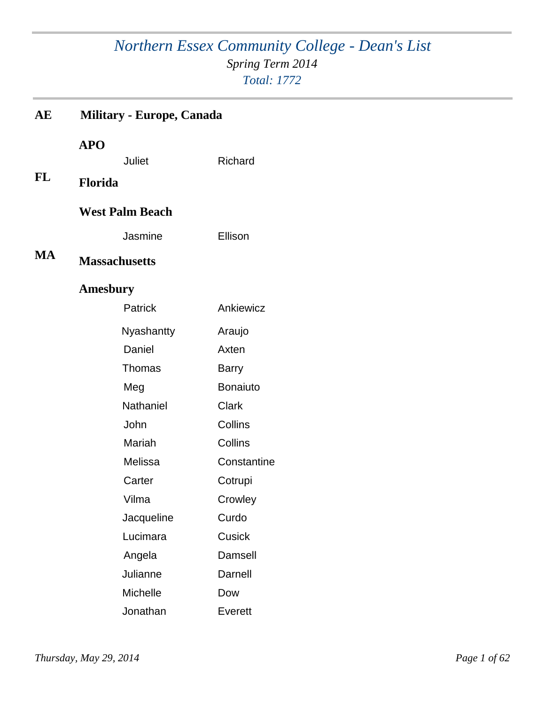## *Northern Essex Community College - Dean's List Spring Term 2014 Total: 1772*

| AЕ | <b>Military - Europe, Canada</b>       |                 |
|----|----------------------------------------|-----------------|
| FL | <b>APO</b><br>Juliet<br><b>Florida</b> | Richard         |
|    | <b>West Palm Beach</b>                 |                 |
|    | Jasmine                                | Ellison         |
| MA | <b>Massachusetts</b>                   |                 |
|    | <b>Amesbury</b>                        |                 |
|    | Patrick                                | Ankiewicz       |
|    | Nyashantty                             | Araujo          |
|    | Daniel                                 | Axten           |
|    | <b>Thomas</b>                          | <b>Barry</b>    |
|    | Meg                                    | <b>Bonaiuto</b> |
|    | <b>Nathaniel</b>                       | <b>Clark</b>    |
|    | John                                   | Collins         |
|    | Mariah                                 | Collins         |
|    | Melissa                                | Constantine     |
|    | Carter                                 | Cotrupi         |
|    | Vilma                                  | Crowley         |
|    | Jacqueline                             | Curdo           |
|    | Lucimara                               | Cusick          |
|    | Angela                                 | Damsell         |
|    | Julianne                               | Darnell         |
|    | <b>Michelle</b>                        | Dow             |
|    | Jonathan                               | Everett         |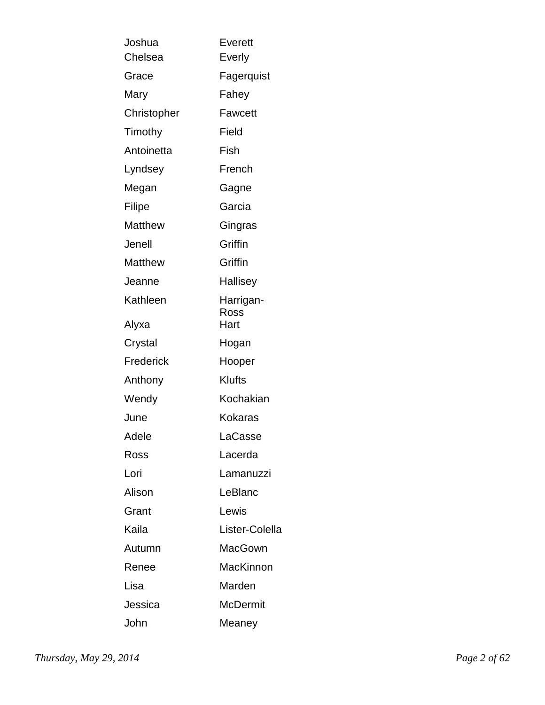| Joshua<br>Chelsea | <b>Everett</b><br>Everly |
|-------------------|--------------------------|
| Grace             | Fagerquist               |
| Mary              | Fahey                    |
| Christopher       | <b>Fawcett</b>           |
| Timothy           | Field                    |
| Antoinetta        | Fish                     |
| Lyndsey           | French                   |
| Megan             | Gagne                    |
| Filipe            | Garcia                   |
| <b>Matthew</b>    | Gingras                  |
| Jenell            | Griffin                  |
| <b>Matthew</b>    | Griffin                  |
| Jeanne            | Hallisey                 |
| Kathleen          | Harrigan-<br>Ross        |
| Alyxa             | Hart                     |
| Crystal           | Hogan                    |
| Frederick         | Hooper                   |
| Anthony           | Klufts                   |
| Wendy             | Kochakian                |
| June              | <b>Kokaras</b>           |
| Adele             | LaCasse                  |
| Ross              | Lacerda                  |
| Lori              | Lamanuzzi                |
| Alison            | LeBlanc                  |
| Grant             | Lewis                    |
| Kaila             | Lister-Colella           |
| Autumn            | MacGown                  |
| Renee             | MacKinnon                |
| Lisa              | Marden                   |
| Jessica           | <b>McDermit</b>          |
| John              | Meaney                   |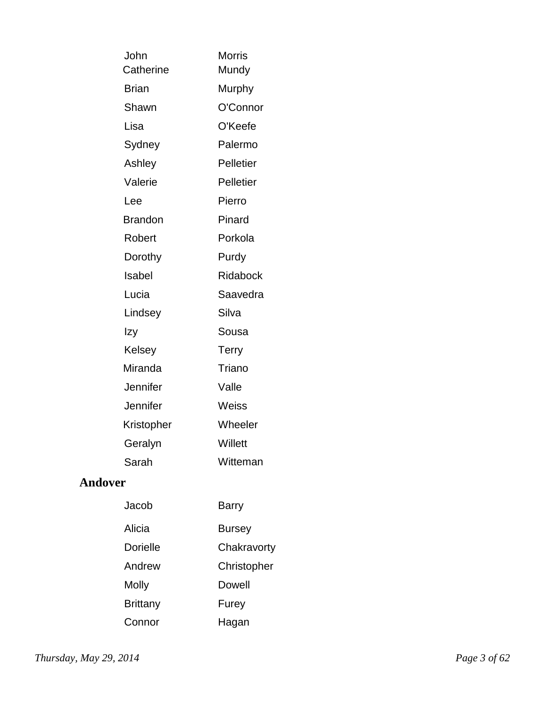| John           | <b>Morris</b>    |
|----------------|------------------|
| Catherine      | Mundy            |
| <b>Brian</b>   | Murphy           |
| Shawn          | O'Connor         |
| Lisa           | O'Keefe          |
| Sydney         | Palermo          |
| Ashley         | <b>Pelletier</b> |
| Valerie        | Pelletier        |
| Lee            | Pierro           |
| <b>Brandon</b> | Pinard           |
| Robert         | Porkola          |
| Dorothy        | Purdy            |
| Isabel         | Ridabock         |
| Lucia          | Saavedra         |
| Lindsey        | Silva            |
| Izy            | Sousa            |
| Kelsey         | <b>Terry</b>     |
| Miranda        | Triano           |
| Jennifer       | Valle            |
| Jennifer       | Weiss            |
| Kristopher     | Wheeler          |
| Geralyn        | Willett          |
| Sarah          | Witteman         |
|                |                  |

### **Andover**

| Jacob           | <b>Barry</b>  |
|-----------------|---------------|
| Alicia          | <b>Bursey</b> |
| <b>Dorielle</b> | Chakravorty   |
| Andrew          | Christopher   |
| Molly           | Dowell        |
| Brittany        | Furey         |
| Connor          | Hagan         |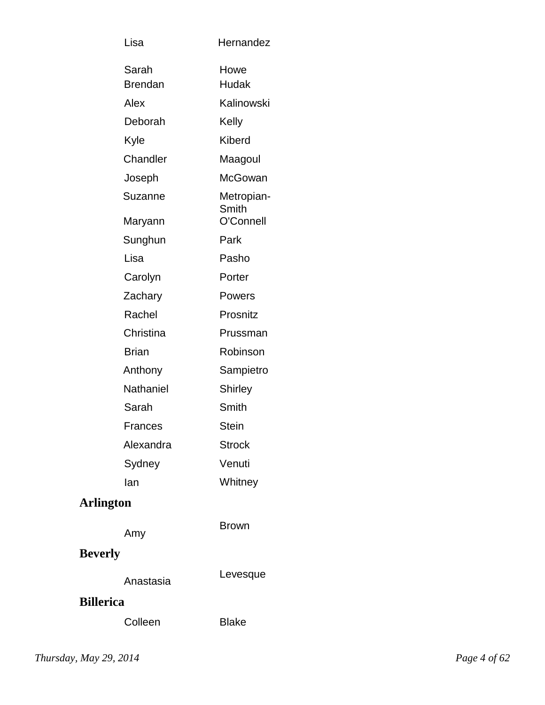| Lisa                    | Hernandez           |
|-------------------------|---------------------|
| Sarah<br><b>Brendan</b> | Howe<br>Hudak       |
| Alex                    | Kalinowski          |
| Deborah                 | Kelly               |
| Kyle                    | <b>Kiberd</b>       |
| Chandler                | Maagoul             |
| Joseph                  | McGowan             |
| Suzanne                 | Metropian-<br>Smith |
| Maryann                 | O'Connell           |
| Sunghun                 | Park                |
| Lisa                    | Pasho               |
| Carolyn                 | Porter              |
| Zachary                 | Powers              |
| Rachel                  | Prosnitz            |
| Christina               | Prussman            |
| <b>Brian</b>            | Robinson            |
| Anthony                 | Sampietro           |
| Nathaniel               | Shirley             |
| Sarah                   | Smith               |
| <b>Frances</b>          | <b>Stein</b>        |
| Alexandra               | <b>Strock</b>       |
| Sydney                  | Venuti              |
| lan                     | Whitney             |
| <b>Arlington</b>        |                     |
| Amy                     | <b>Brown</b>        |

# **Beverly**

#### **Billerica**

| Colleen | <b>Blake</b> |
|---------|--------------|
|---------|--------------|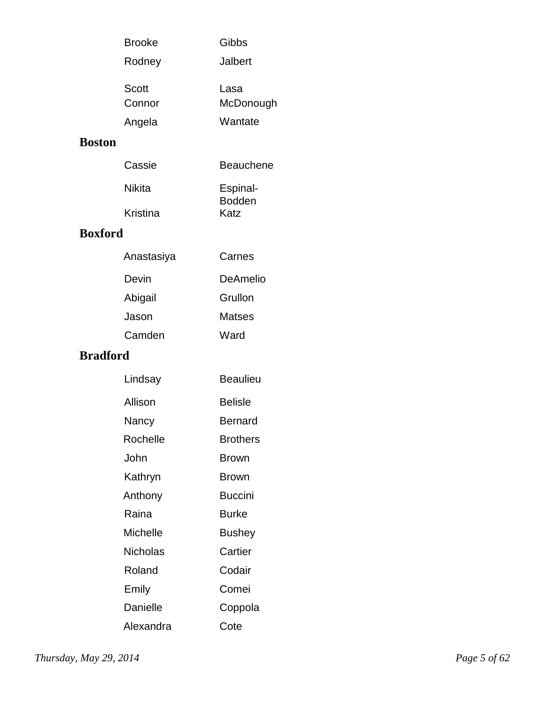| <b>Brooke</b> | Gibbs     |
|---------------|-----------|
| Rodney        | Jalbert   |
| Scott         | Lasa      |
| Connor        | McDonough |
| Angela        | Wantate   |

### **Boston**

| Cassie   | <b>Beauchene</b>          |
|----------|---------------------------|
| Nikita   | Espinal-<br><b>Bodden</b> |
| Kristina | Katz                      |

### **Boxford**

| Anastasiya | Carnes   |
|------------|----------|
| Devin      | DeAmelio |
| Abigail    | Grullon  |
| Jason      | Matses   |
| Camden     | Ward     |

### **Bradford**

| Lindsay         | Beaulieu        |
|-----------------|-----------------|
| Allison         | <b>Belisle</b>  |
| Nancy           | Bernard         |
| Rochelle        | <b>Brothers</b> |
| John            | Brown           |
| Kathryn         | <b>Brown</b>    |
| Anthony         | <b>Buccini</b>  |
| Raina           | Burke           |
| <b>Michelle</b> | Bushey          |
| Nicholas        | Cartier         |
| Roland          | Codair          |
| Emily           | Comei           |
| Danielle        | Coppola         |
| Alexandra       | Cote            |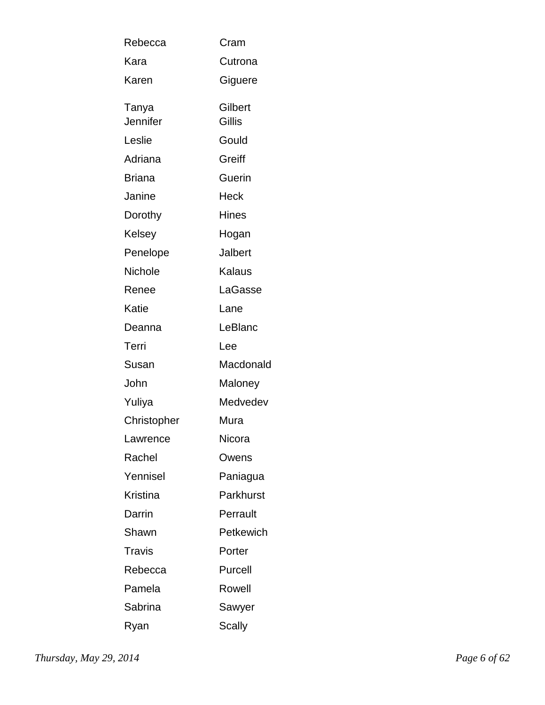| Rebecca           | Cram              |
|-------------------|-------------------|
| Kara              | Cutrona           |
| Karen             | Giguere           |
| Tanya<br>Jennifer | Gilbert<br>Gillis |
| Leslie            | Gould             |
| Adriana           | Greiff            |
| Briana            | Guerin            |
| Janine            | Heck              |
| Dorothy           | <b>Hines</b>      |
| Kelsey            | Hogan             |
| Penelope          | Jalbert           |
| Nichole           | Kalaus            |
| Renee             | LaGasse           |
| Katie             | Lane              |
| Deanna            | LeBlanc           |
| Terri             | Lee               |
| Susan             | Macdonald         |
| John              | Maloney           |
| Yuliya            | Medvedev          |
| Christopher       | Mura              |
| Lawrence          | Nicora            |
| Rachel            | Owens             |
| Yennisel          | Paniagua          |
| Kristina          | Parkhurst         |
| Darrin            | Perrault          |
| Shawn             | Petkewich         |
| <b>Travis</b>     | Porter            |
| Rebecca           | Purcell           |
| Pamela            | Rowell            |
| Sabrina           | Sawyer            |
| Ryan              | Scally            |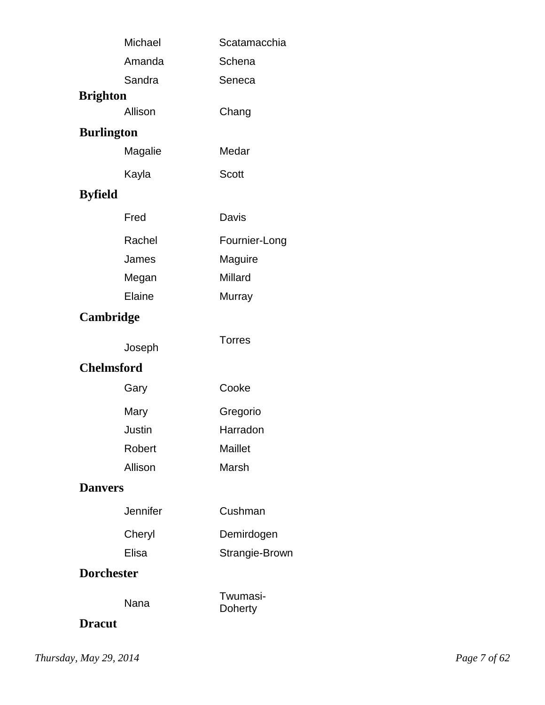|                   | Michael  | Scatamacchia        |
|-------------------|----------|---------------------|
|                   | Amanda   | Schena              |
|                   | Sandra   | Seneca              |
| <b>Brighton</b>   |          |                     |
|                   | Allison  | Chang               |
| <b>Burlington</b> |          |                     |
|                   | Magalie  | Medar               |
|                   | Kayla    | Scott               |
| <b>Byfield</b>    |          |                     |
|                   | Fred     | Davis               |
|                   | Rachel   | Fournier-Long       |
|                   | James    | Maguire             |
|                   | Megan    | Millard             |
|                   | Elaine   | Murray              |
| Cambridge         |          |                     |
|                   | Joseph   | <b>Torres</b>       |
| <b>Chelmsford</b> |          |                     |
|                   | Gary     | Cooke               |
|                   | Mary     | Gregorio            |
|                   | Justin   | Harradon            |
|                   | Robert   | Maillet             |
|                   | Allison  | Marsh               |
| <b>Danvers</b>    |          |                     |
|                   | Jennifer | Cushman             |
|                   | Cheryl   | Demirdogen          |
|                   | Elisa    | Strangie-Brown      |
| <b>Dorchester</b> |          |                     |
| <b>Dracut</b>     | Nana     | Twumasi-<br>Doherty |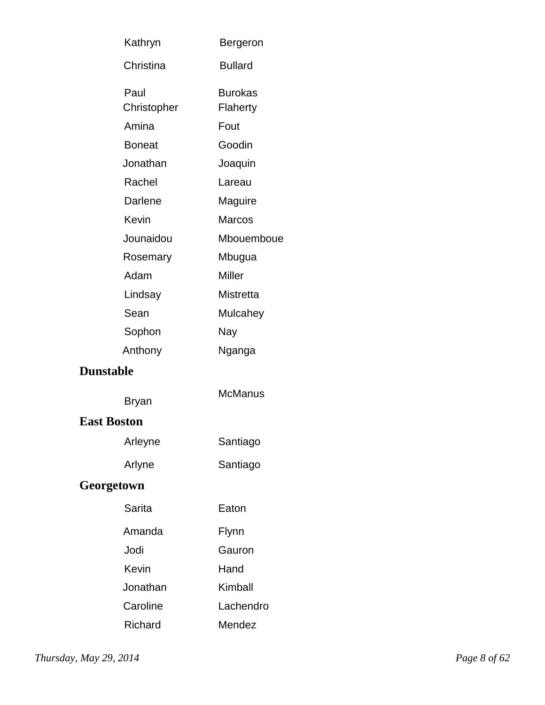|                    | Kathryn             | Bergeron                   |
|--------------------|---------------------|----------------------------|
|                    | Christina           | <b>Bullard</b>             |
|                    | Paul<br>Christopher | <b>Burokas</b><br>Flaherty |
|                    | Amina               | Fout                       |
|                    | <b>Boneat</b>       | Goodin                     |
|                    | Jonathan            | Joaquin                    |
|                    | Rachel              | Lareau                     |
|                    | Darlene             | Maguire                    |
|                    | Kevin               | <b>Marcos</b>              |
|                    | Jounaidou           | Mbouemboue                 |
|                    | Rosemary            | Mbugua                     |
|                    | Adam                | <b>Miller</b>              |
|                    | Lindsay             | <b>Mistretta</b>           |
|                    | Sean                | Mulcahey                   |
|                    | Sophon              | Nay                        |
|                    | Anthony             | Nganga                     |
| <b>Dunstable</b>   |                     |                            |
|                    | Bryan               | <b>McManus</b>             |
| <b>East Boston</b> |                     |                            |
|                    | Arleyne             | Santiago                   |
|                    | Arlyne              | Santiago                   |
| Georgetown         |                     |                            |
|                    | Sarita              | Eaton                      |
|                    | Amanda              | Flynn                      |
|                    | Jodi                | Gauron                     |
|                    | Kevin               | Hand                       |
|                    | Jonathan            | Kimball                    |
|                    | Caroline            | Lachendro                  |
|                    | Richard             | Mendez                     |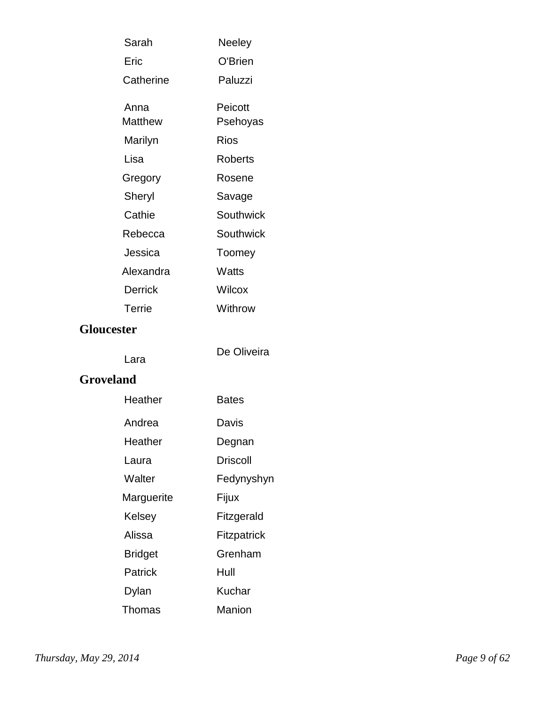| Sarah                  | Neeley              |
|------------------------|---------------------|
| Eric                   | O'Brien             |
| Catherine              | Paluzzi             |
| Anna<br><b>Matthew</b> | Peicott<br>Psehoyas |
| Marilyn                | <b>Rios</b>         |
| Lisa                   | <b>Roberts</b>      |
| Gregory                | Rosene              |
| Sheryl                 | Savage              |
| Cathie                 | <b>Southwick</b>    |
| Rebecca                | Southwick           |
| Jessica                | Toomey              |
| Alexandra              | Watts               |
| <b>Derrick</b>         | Wilcox              |
| Terrie                 | Withrow             |
| <b>Gloucester</b>      |                     |
| Lara                   | De Oliveira         |
| Groveland              |                     |
| Haathar                | Rates               |

#### **Grovela**

| Heather        | Bates       |
|----------------|-------------|
| Andrea         | Davis       |
| Heather        | Degnan      |
| Laura          | Driscoll    |
| Walter         | Fedynyshyn  |
| Marguerite     | Fijux       |
| Kelsey         | Fitzgerald  |
| Alissa         | Fitzpatrick |
| <b>Bridget</b> | Grenham     |
| Patrick        | Hull        |
| Dylan          | Kuchar      |
| Thomas         | Manion      |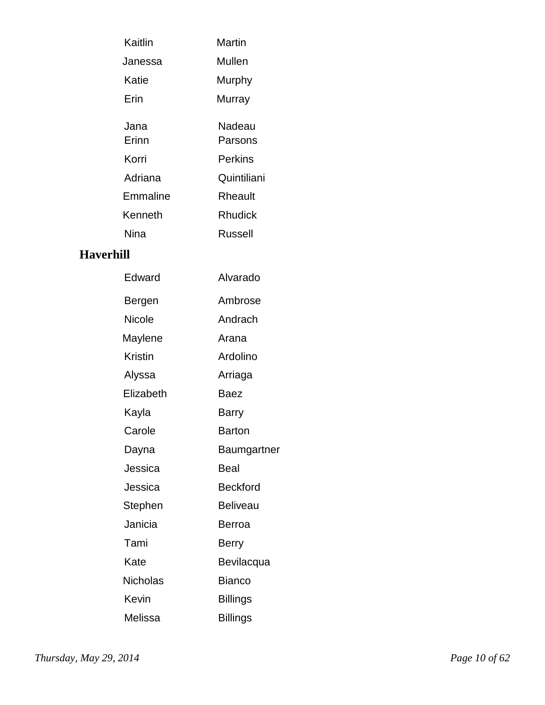| Kaitlin       | Martin            |
|---------------|-------------------|
| Janessa       | Mullen            |
| Katie         | Murphy            |
| Frin          | Murray            |
| Jana<br>Frinn | Nadeau<br>Parsons |
| Korri         | Perkins           |
| Adriana       | Quintiliani       |
| Emmaline      | Rheault           |
| Kenneth       | Rhudick           |
| Nina          | Russell           |
|               |                   |

### **Haverhill**

| Edward         | Alvarado        |
|----------------|-----------------|
| Bergen         | Ambrose         |
| <b>Nicole</b>  | Andrach         |
| Maylene        | Arana           |
| <b>Kristin</b> | Ardolino        |
| Alyssa         | Arriaga         |
| Elizabeth      | Baez            |
| Kayla          | <b>Barry</b>    |
| Carole         | <b>Barton</b>   |
| Dayna          | Baumgartner     |
| Jessica        | Beal            |
| Jessica        | <b>Beckford</b> |
| Stephen        | <b>Beliveau</b> |
| Janicia        | Berroa          |
| Tami           | <b>Berry</b>    |
| Kate           | Bevilacqua      |
| Nicholas       | <b>Bianco</b>   |
| Kevin          | <b>Billings</b> |
| Melissa        | <b>Billings</b> |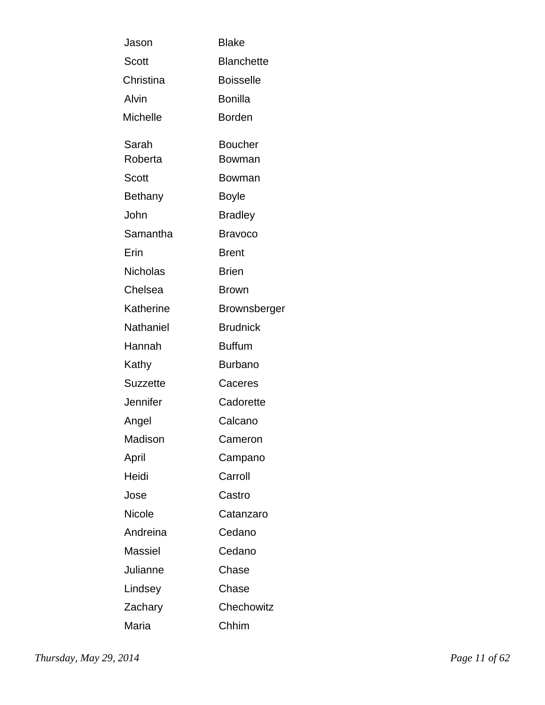| Jason            | <b>Blake</b>      |
|------------------|-------------------|
| Scott            | <b>Blanchette</b> |
| Christina        | <b>Boisselle</b>  |
| Alvin            | <b>Bonilla</b>    |
| <b>Michelle</b>  | <b>Borden</b>     |
| Sarah            | <b>Boucher</b>    |
| Roberta          | Bowman            |
| Scott            | Bowman            |
| <b>Bethany</b>   | <b>Boyle</b>      |
| John             | <b>Bradley</b>    |
| Samantha         | <b>Bravoco</b>    |
| Erin             | <b>Brent</b>      |
| <b>Nicholas</b>  | <b>Brien</b>      |
| Chelsea          | <b>Brown</b>      |
| Katherine        | Brownsberger      |
| <b>Nathaniel</b> | <b>Brudnick</b>   |
| Hannah           | <b>Buffum</b>     |
| Kathy            | <b>Burbano</b>    |
| <b>Suzzette</b>  | Caceres           |
| <b>Jennifer</b>  | Cadorette         |
| Angel            | Calcano           |
| Madison          | Cameron           |
| April            | Campano           |
| Heidi            | Carroll           |
| Jose             | Castro            |
| <b>Nicole</b>    | Catanzaro         |
| Andreina         | Cedano            |
| Massiel          | Cedano            |
| Julianne         | Chase             |
| Lindsey          | Chase             |
| Zachary          | Chechowitz        |
| Maria            | Chhim             |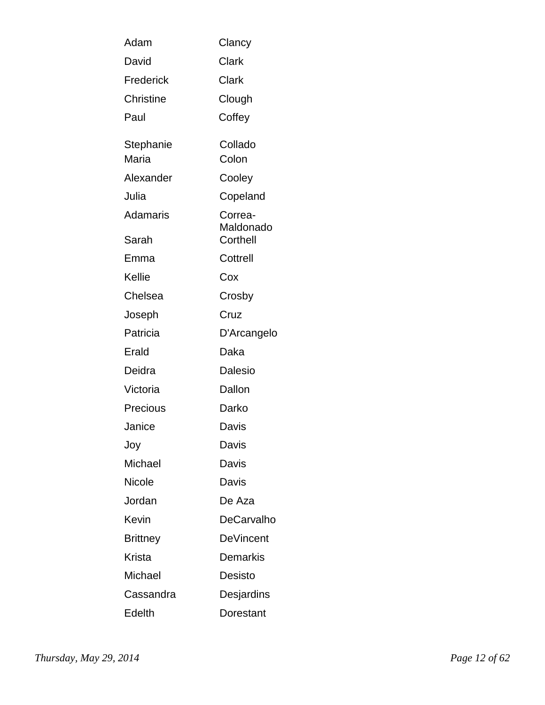| Adam               | Clancy                           |
|--------------------|----------------------------------|
| David              | Clark                            |
| Frederick          | Clark                            |
| Christine          | Clough                           |
| Paul               | Coffey                           |
| Stephanie<br>Maria | Collado<br>Colon                 |
| Alexander          | Cooley                           |
| Julia              | Copeland                         |
| Adamaris<br>Sarah  | Correa-<br>Maldonado<br>Corthell |
| Emma               | Cottrell                         |
| Kellie             | Cox                              |
| Chelsea            | Crosby                           |
| Joseph             | Cruz                             |
| Patricia           | D'Arcangelo                      |
| Erald              | Daka                             |
| Deidra             | Dalesio                          |
| Victoria           | Dallon                           |
| Precious           | Darko                            |
| Janice             | Davis                            |
| Joy                | Davis                            |
| Michael            | Davis                            |
| Nicole             | Davis                            |
| Jordan             | De Aza                           |
| Kevin              | <b>DeCarvalho</b>                |
| <b>Brittney</b>    | <b>DeVincent</b>                 |
| Krista             | Demarkis                         |
| Michael            | Desisto                          |
| Cassandra          | Desjardins                       |
| Edelth             | Dorestant                        |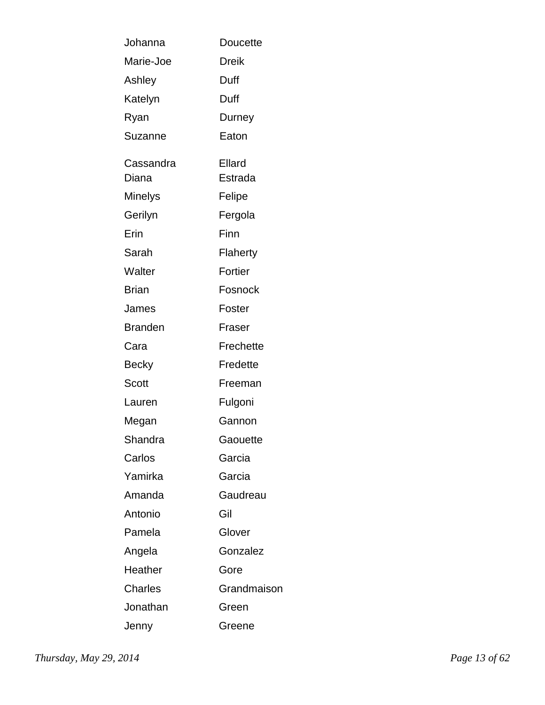| Johanna            | <b>Doucette</b>   |
|--------------------|-------------------|
| Marie-Joe          | Dreik             |
| Ashley             | Duff              |
| Katelyn            | Duff              |
| Ryan               | Durney            |
| Suzanne            | Eaton             |
| Cassandra<br>Diana | Ellard<br>Estrada |
| Minelys            | Felipe            |
| Gerilyn            | Fergola           |
| Erin               | Finn              |
| Sarah              | Flaherty          |
| Walter             | Fortier           |
| <b>Brian</b>       | Fosnock           |
| James              | Foster            |
| <b>Branden</b>     | Fraser            |
| Cara               | Frechette         |
| Becky              | Fredette          |
| Scott              | Freeman           |
| Lauren             | Fulgoni           |
| Megan              | Gannon            |
| Shandra            | Gaouette          |
| Carlos             | Garcia            |
| Yamirka            | Garcia            |
| Amanda             | Gaudreau          |
| Antonio            | Gil               |
| Pamela             | Glover            |
| Angela             | Gonzalez          |
| Heather            | Gore              |
| <b>Charles</b>     | Grandmaison       |
| Jonathan           | Green             |
| Jenny              | Greene            |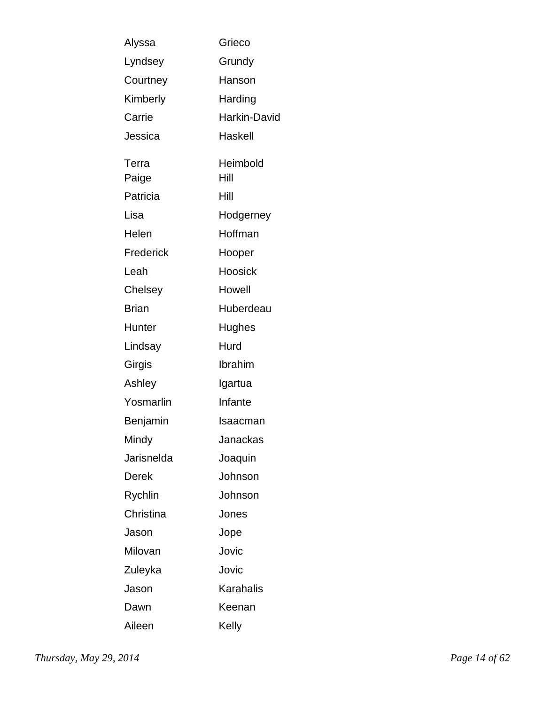| Alyssa       | Grieco           |
|--------------|------------------|
| Lyndsey      | Grundy           |
| Courtney     | Hanson           |
| Kimberly     | Harding          |
| Carrie       | Harkin-David     |
| Jessica      | Haskell          |
| Terra        | Heimbold         |
| Paige        | Hill             |
| Patricia     | Hill             |
| Lisa         | Hodgerney        |
| Helen        | Hoffman          |
| Frederick    | Hooper           |
| Leah         | Hoosick          |
| Chelsey      | Howell           |
| <b>Brian</b> | Huberdeau        |
| Hunter       | Hughes           |
| Lindsay      | Hurd             |
| Girgis       | Ibrahim          |
| Ashley       | Igartua          |
| Yosmarlin    | Infante          |
| Benjamin     | Isaacman         |
| Mindy        | Janackas         |
| Jarisnelda   | Joaquin          |
| Derek        | Johnson          |
| Rychlin      | Johnson          |
| Christina    | Jones            |
| Jason        | Jope             |
| Milovan      | Jovic            |
| Zuleyka      | Jovic            |
| Jason        | <b>Karahalis</b> |
| Dawn         | Keenan           |
| Aileen       | Kelly            |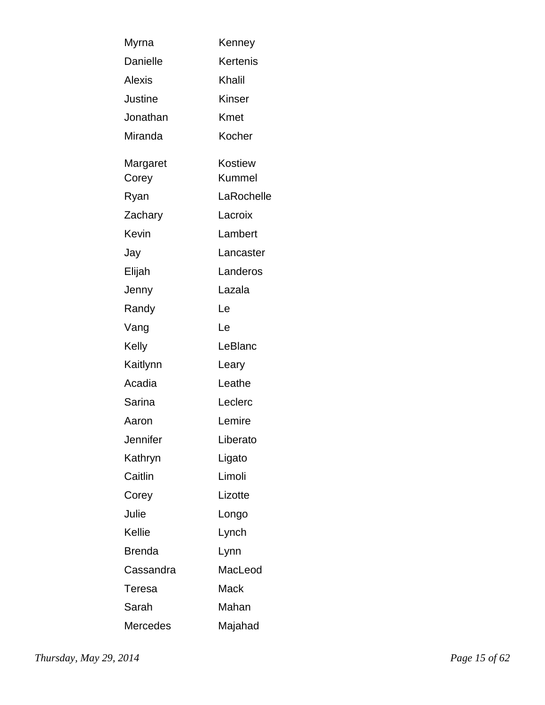| Myrna           | Kenney        |
|-----------------|---------------|
| <b>Danielle</b> | Kertenis      |
| <b>Alexis</b>   | Khalil        |
| Justine         | <b>Kinser</b> |
| Jonathan        | Kmet          |
| Miranda         | Kocher        |
| Margaret        | Kostiew       |
| Corey           | Kummel        |
| Ryan            | LaRochelle    |
| Zachary         | Lacroix       |
| Kevin           | Lambert       |
| Jay             | Lancaster     |
| Elijah          | Landeros      |
| Jenny           | Lazala        |
| Randy           | Le            |
| Vang            | Le            |
| Kelly           | LeBlanc       |
| Kaitlynn        | Leary         |
| Acadia          | Leathe        |
| Sarina          | Leclerc       |
| Aaron           | Lemire        |
| Jennifer        | Liberato      |
| Kathryn         | Ligato        |
| Caitlin         | Limoli        |
| Corey           | Lizotte       |
| Julie           | Longo         |
| Kellie          | Lynch         |
| Brenda          | Lynn          |
| Cassandra       | MacLeod       |
| Teresa          | Mack          |
| Sarah           | Mahan         |
| <b>Mercedes</b> | Majahad       |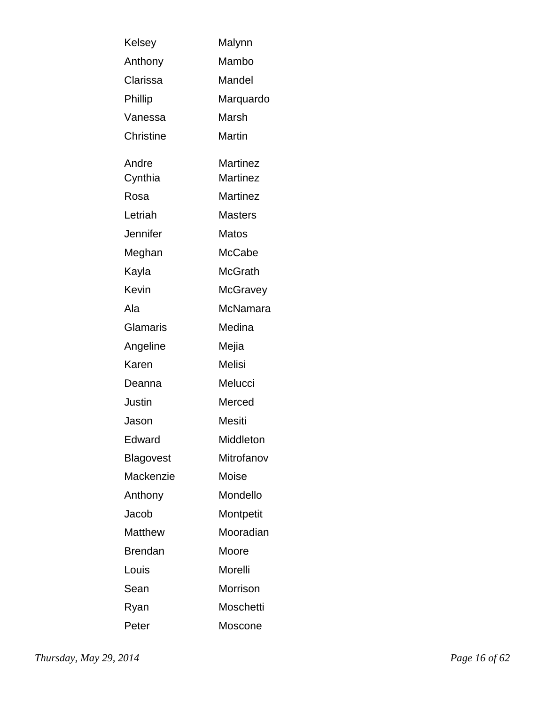| Kelsey           | Malynn          |
|------------------|-----------------|
| Anthony          | Mambo           |
| Clarissa         | Mandel          |
| Phillip          | Marquardo       |
| Vanessa          | Marsh           |
| <b>Christine</b> | Martin          |
| Andre            | Martinez        |
| Cynthia          | Martinez        |
| Rosa             | <b>Martinez</b> |
| Letriah          | <b>Masters</b>  |
| Jennifer         | Matos           |
| Meghan           | McCabe          |
| Kayla            | <b>McGrath</b>  |
| Kevin            | McGravey        |
| Ala              | McNamara        |
| Glamaris         | Medina          |
| Angeline         | Mejia           |
| Karen            | <b>Melisi</b>   |
| Deanna           | Melucci         |
| Justin           | Merced          |
| Jason            | Mesiti          |
| Edward           | Middleton       |
| Blagovest        | Mitrofanov      |
| Mackenzie        | Moise           |
| Anthony          | Mondello        |
| Jacob            | Montpetit       |
| <b>Matthew</b>   | Mooradian       |
| Brendan          | Moore           |
| Louis            | Morelli         |
| Sean             | Morrison        |
| Ryan             | Moschetti       |
| Peter            | Moscone         |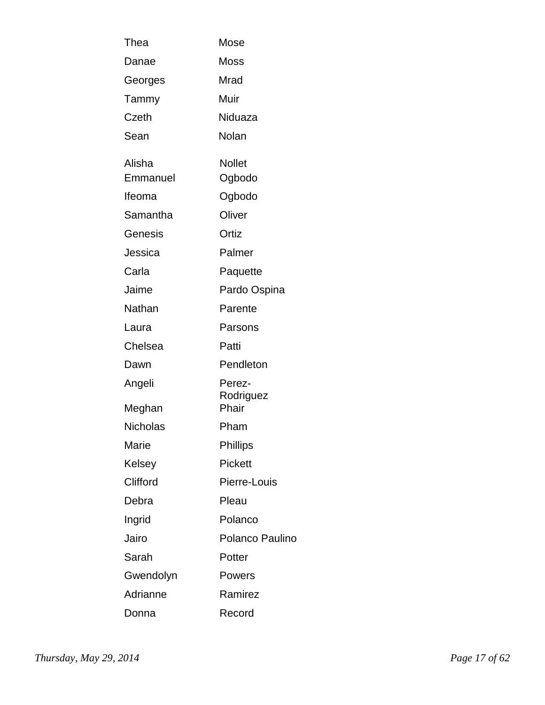| Thea            | Mose                |
|-----------------|---------------------|
| Danae           | Moss                |
| Georges         | Mrad                |
| Tammy           | Muir                |
| Czeth           | Niduaza             |
| Sean            | Nolan               |
| Alisha          | <b>Nollet</b>       |
| Emmanuel        | Ogbodo              |
| Ifeoma          | Ogbodo              |
| Samantha        | Oliver              |
| Genesis         | Ortiz               |
| Jessica         | Palmer              |
| Carla           | Paquette            |
| Jaime           | Pardo Ospina        |
| Nathan          | Parente             |
| Laura           | Parsons             |
| Chelsea         | Patti               |
| Dawn            | Pendleton           |
| Angeli          | Perez-<br>Rodriguez |
| Meghan          | Phair               |
| <b>Nicholas</b> | Pham                |
| Marie           | Phillips            |
| Kelsey          | <b>Pickett</b>      |
| Clifford        | Pierre-Louis        |
| Debra           | Pleau               |
| Ingrid          | Polanco             |
| Jairo           | Polanco Paulino     |
| Sarah           | Potter              |
| Gwendolyn       | Powers              |
| Adrianne        | Ramirez             |
| Donna           | Record              |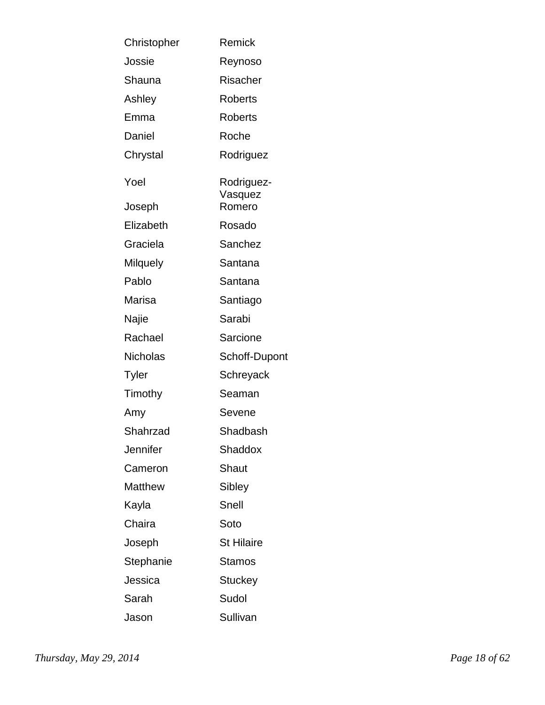| Christopher     | Remick                |
|-----------------|-----------------------|
| Jossie          | Reynoso               |
| Shauna          | Risacher              |
| Ashley          | <b>Roberts</b>        |
| Emma            | <b>Roberts</b>        |
| Daniel          | Roche                 |
| Chrystal        | Rodriguez             |
| Yoel            | Rodriguez-<br>Vasquez |
| Joseph          | Romero                |
| Elizabeth       | Rosado                |
| Graciela        | Sanchez               |
| <b>Milquely</b> | Santana               |
| Pablo           | Santana               |
| Marisa          | Santiago              |
| Najie           | Sarabi                |
| Rachael         | Sarcione              |
| <b>Nicholas</b> | Schoff-Dupont         |
| Tyler           | Schreyack             |
| Timothy         | Seaman                |
| Amy             | Sevene                |
| Shahrzad        | Shadbash              |
| Jennifer        | Shaddox               |
| Cameron         | Shaut                 |
| Matthew         | Sibley                |
| Kayla           | Snell                 |
| Chaira          | Soto                  |
| Joseph          | <b>St Hilaire</b>     |
| Stephanie       | Stamos                |
| Jessica         | <b>Stuckey</b>        |
| Sarah           | Sudol                 |
| Jason           | Sullivan              |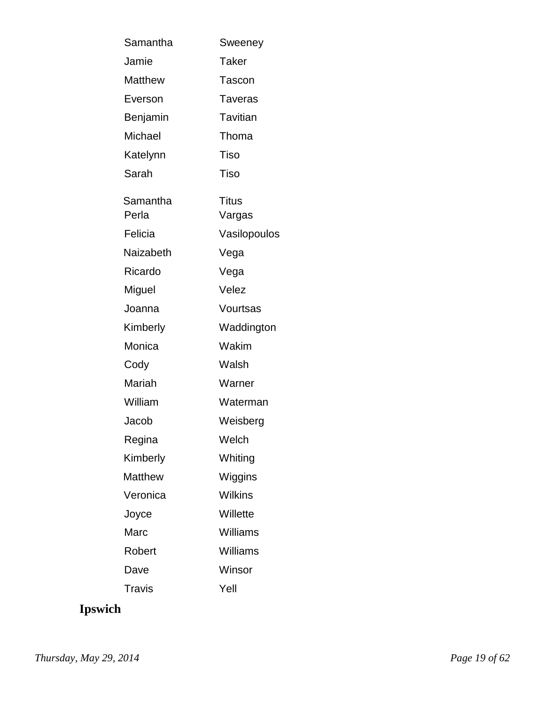| Samantha       | Sweeney        |
|----------------|----------------|
| Jamie          | Taker          |
| <b>Matthew</b> | Tascon         |
| Everson        | <b>Taveras</b> |
| Benjamin       | Tavitian       |
| Michael        | Thoma          |
| Katelynn       | Tiso           |
| Sarah          | Tiso           |
| Samantha       | Titus          |
| Perla          | Vargas         |
| Felicia        | Vasilopoulos   |
| Naizabeth      | Vega           |
| Ricardo        | Vega           |
| Miguel         | Velez          |
| Joanna         | Vourtsas       |
| Kimberly       | Waddington     |
| Monica         | Wakim          |
| Cody           | Walsh          |
| Mariah         | Warner         |
| William        | Waterman       |
| Jacob          | Weisberg       |
| Regina         | Welch          |
| Kimberly       | Whiting        |
| <b>Matthew</b> | Wiggins        |
| Veronica       | Wilkins        |
| Joyce          | Willette       |
| Marc           | Williams       |
| Robert         | Williams       |
| Dave           | Winsor         |
| Travis         | Yell           |

# **Ipswich**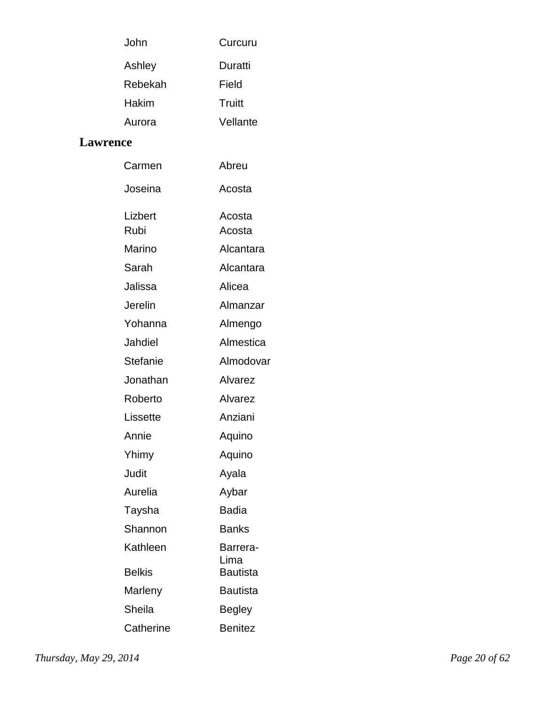| John    | Curcuru  |
|---------|----------|
| Ashley  | Duratti  |
| Rebekah | Field    |
| Hakim   | Truitt   |
| Aurora  | Vellante |

#### **Lawrence**

| Carmen          | Abreu                   |
|-----------------|-------------------------|
| Joseina         | Acosta                  |
| Lizbert         | Acosta                  |
| Rubi            | Acosta                  |
| Marino          | Alcantara               |
| Sarah           | Alcantara               |
| Jalissa         | Alicea                  |
| Jerelin         | Almanzar                |
| Yohanna         | Almengo                 |
| Jahdiel         | Almestica               |
| <b>Stefanie</b> | Almodovar               |
| Jonathan        | Alvarez                 |
| Roberto         | Alvarez                 |
| Lissette        | Anziani                 |
| Annie           | Aquino                  |
| Yhimy           | Aquino                  |
| Judit           | Ayala                   |
| Aurelia         | Aybar                   |
| Taysha          | <b>Badia</b>            |
| Shannon         | <b>Banks</b>            |
| Kathleen        | Barrera-                |
| <b>Belkis</b>   | Lima<br><b>Bautista</b> |
| Marleny         | <b>Bautista</b>         |
| Sheila          | <b>Begley</b>           |
| Catherine       | <b>Benitez</b>          |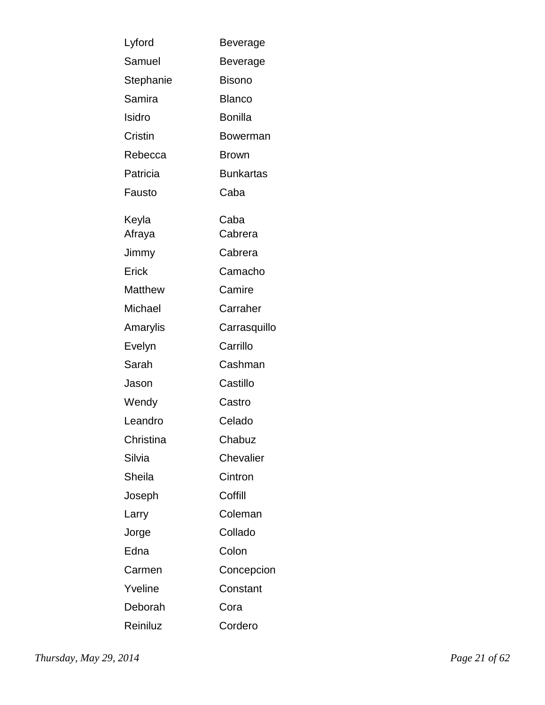| Lyford    | Beverage         |
|-----------|------------------|
| Samuel    | Beverage         |
| Stephanie | <b>Bisono</b>    |
| Samira    | <b>Blanco</b>    |
| Isidro    | <b>Bonilla</b>   |
| Cristin   | Bowerman         |
| Rebecca   | <b>Brown</b>     |
| Patricia  | <b>Bunkartas</b> |
| Fausto    | Caba             |
| Keyla     | Caba             |
| Afraya    | Cabrera          |
| Jimmy     | Cabrera          |
| Erick     | Camacho          |
| Matthew   | Camire           |
| Michael   | Carraher         |
| Amarylis  | Carrasquillo     |
| Evelyn    | Carrillo         |
| Sarah     | Cashman          |
| Jason     | Castillo         |
| Wendy     | Castro           |
| Leandro   | Celado           |
| Christina | Chabuz           |
| Silvia    | Chevalier        |
| Sheila    | Cintron          |
| Joseph    | Coffill          |
| Larry     | Coleman          |
| Jorge     | Collado          |
| Edna      | Colon            |
| Carmen    | Concepcion       |
| Yveline   | Constant         |
| Deborah   | Cora             |
| Reiniluz  | Cordero          |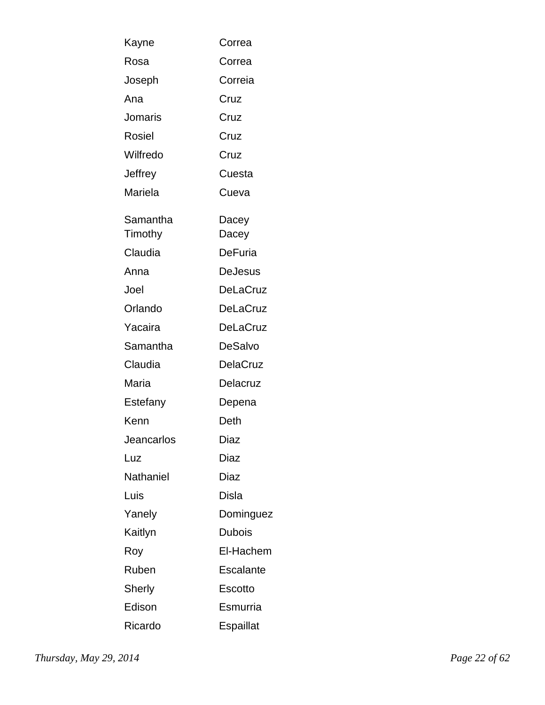| Kayne               | Correa          |
|---------------------|-----------------|
| Rosa                | Correa          |
| Joseph              | Correia         |
| Ana                 | Cruz            |
| Jomaris             | Cruz            |
| <b>Rosiel</b>       | Cruz            |
| Wilfredo            | Cruz            |
| Jeffrey             | Cuesta          |
| Mariela             | Cueva           |
| Samantha<br>Timothy | Dacey<br>Dacey  |
| Claudia             | <b>DeFuria</b>  |
| Anna                | DeJesus         |
| Joel                | DeLaCruz        |
| Orlando             | <b>DeLaCruz</b> |
| Yacaira             | DeLaCruz        |
| Samantha            | DeSalvo         |
| Claudia             | <b>DelaCruz</b> |
| Maria               | Delacruz        |
| Estefany            | Depena          |
| Kenn                | Deth            |
| Jeancarlos          | Diaz            |
| Luz                 | Diaz            |
| Nathaniel           | Diaz            |
| Luis                | Disla           |
| Yanely              | Dominguez       |
| Kaitlyn             | <b>Dubois</b>   |
| Roy                 | El-Hachem       |
| Ruben               | Escalante       |
| Sherly              | <b>Escotto</b>  |
| Edison              | Esmurria        |
| Ricardo             | Espaillat       |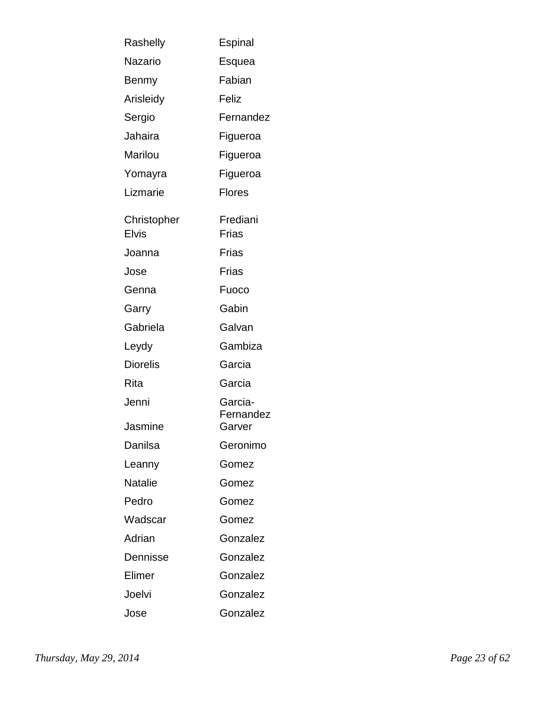| Rashelly                 | Espinal                        |
|--------------------------|--------------------------------|
| <b>Nazario</b>           | Esquea                         |
| Benmy                    | Fabian                         |
| Arisleidy                | Feliz                          |
| Sergio                   | Fernandez                      |
| Jahaira                  | Figueroa                       |
| Marilou                  | Figueroa                       |
| Yomayra                  | Figueroa                       |
| Lizmarie                 | <b>Flores</b>                  |
| Christopher              | Frediani                       |
| <b>Elvis</b>             | Frias                          |
| Joanna                   | Frias                          |
| Jose                     | Frias                          |
| Genna                    | Fuoco                          |
| Garry                    | Gabin                          |
| Gabriela                 | Galvan                         |
| Leydy                    | Gambiza                        |
| <b>Diorelis</b>          | Garcia                         |
| Rita                     | Garcia                         |
| Jenni<br>Jasmine         | Garcia-<br>Fernandez<br>Garver |
| Danilsa                  | Geronimo                       |
|                          | Gomez                          |
| Leanny<br><b>Natalie</b> |                                |
| Pedro                    | Gomez                          |
|                          | Gomez                          |
| Wadscar                  | Gomez                          |
| Adrian                   | Gonzalez                       |
| Dennisse                 | Gonzalez                       |
| Elimer                   | Gonzalez                       |
| Joelvi                   | Gonzalez                       |
| Jose                     | Gonzalez                       |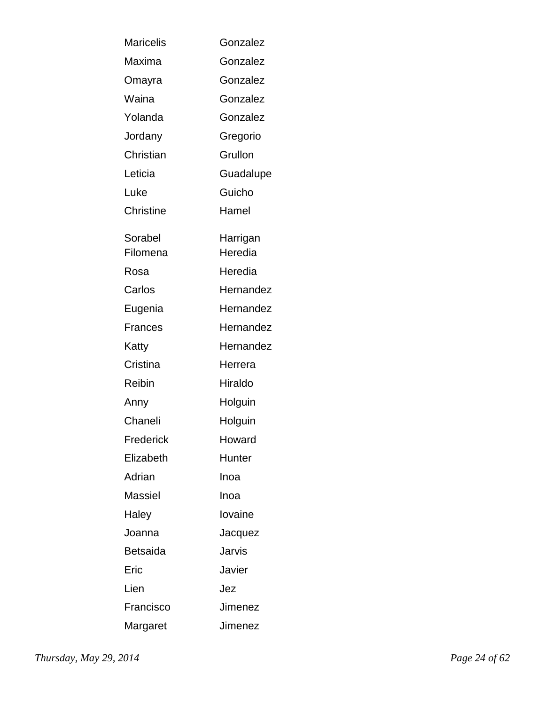| <b>Maricelis</b>    | Gonzalez            |
|---------------------|---------------------|
| Maxima              | Gonzalez            |
| Omayra              | Gonzalez            |
| Waina               | Gonzalez            |
| Yolanda             | Gonzalez            |
| Jordany             | Gregorio            |
| Christian           | Grullon             |
| Leticia             | Guadalupe           |
| Luke                | Guicho              |
| <b>Christine</b>    | Hamel               |
| Sorabel<br>Filomena | Harrigan<br>Heredia |
| Rosa                | Heredia             |
| Carlos              | Hernandez           |
| Eugenia             | Hernandez           |
| Frances             | Hernandez           |
| Katty               | Hernandez           |
| Cristina            | Herrera             |
| Reibin              | Hiraldo             |
| Anny                | Holguin             |
| Chaneli             | Holguin             |
| Frederick           | Howard              |
| Elizabeth           | Hunter              |
| Adrian              | Inoa                |
| Massiel             | Inoa                |
|                     | lovaine             |
| Haley               |                     |
| Joanna<br>Betsaida  | Jacquez<br>Jarvis   |
|                     |                     |
| Eric                | Javier              |
| Lien                | Jez                 |
| Francisco           | Jimenez             |
| Margaret            | Jimenez             |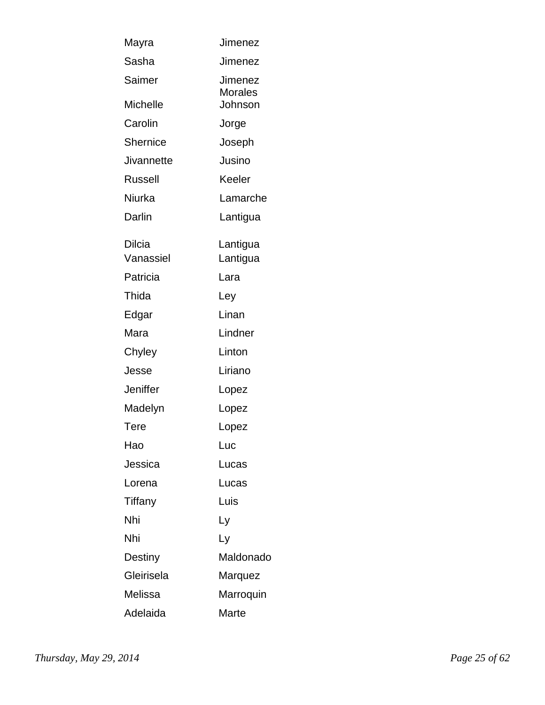| Mayra           | Jimenez                          |
|-----------------|----------------------------------|
| Sasha           | Jimenez                          |
| Saimer          | <b>Jimenez</b><br><b>Morales</b> |
| <b>Michelle</b> | Johnson                          |
| Carolin         | Jorge                            |
| Shernice        | Joseph                           |
| Jivannette      | Jusino                           |
| Russell         | Keeler                           |
| Niurka          | Lamarche                         |
| Darlin          | Lantigua                         |
| Dilcia          | Lantigua                         |
| Vanassiel       | Lantigua                         |
| Patricia        | Lara                             |
| Thida           | Ley                              |
| Edgar           | Linan                            |
| Mara            | Lindner                          |
| Chyley          | Linton                           |
| Jesse           | Liriano                          |
| Jeniffer        | Lopez                            |
| Madelyn         | Lopez                            |
| <b>Tere</b>     | Lopez                            |
| Hao             | Luc                              |
| Jessica         | Lucas                            |
| Lorena          | Lucas                            |
| Tiffany         | Luis                             |
| Nhi             | Ly                               |
| Nhi             | Ly                               |
| Destiny         | Maldonado                        |
| Gleirisela      | Marquez                          |
| Melissa         | Marroquin                        |
| Adelaida        | Marte                            |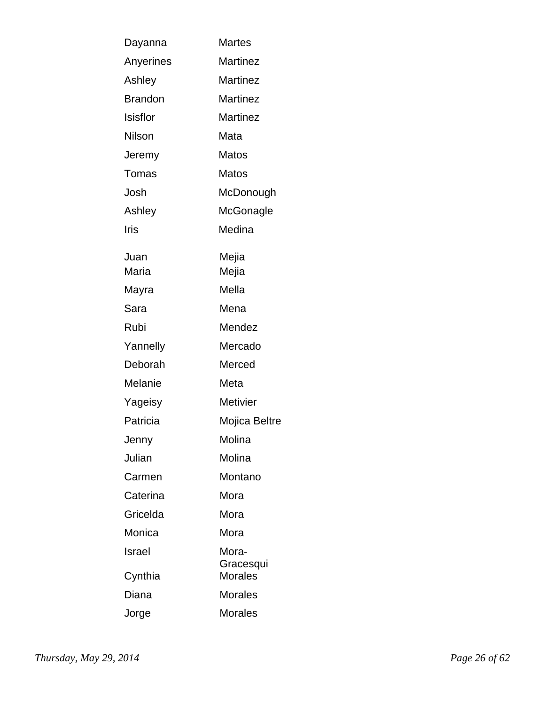| Dayanna        | <b>Martes</b>               |
|----------------|-----------------------------|
| Anyerines      | <b>Martinez</b>             |
| Ashley         | <b>Martinez</b>             |
| <b>Brandon</b> | Martinez                    |
| Isisflor       | Martinez                    |
| Nilson         | Mata                        |
| Jeremy         | Matos                       |
| Tomas          | <b>Matos</b>                |
| Josh           | McDonough                   |
| Ashley         | McGonagle                   |
| Iris           | Medina                      |
| Juan           | Mejia                       |
| Maria          | Mejia                       |
| Mayra          | Mella                       |
| Sara           | Mena                        |
| Rubi           | Mendez                      |
| Yannelly       | Mercado                     |
| Deborah        | Merced                      |
| Melanie        | Meta                        |
| Yageisy        | <b>Metivier</b>             |
| Patricia       | Mojica Beltre               |
| Jenny          | Molina                      |
| Julian         | Molina                      |
| Carmen         | Montano                     |
| Caterina       | Mora                        |
| Gricelda       | Mora                        |
| Monica         | Mora                        |
| Israel         | Mora-                       |
| Cynthia        | Gracesqui<br><b>Morales</b> |
| Diana          | <b>Morales</b>              |
| Jorge          | <b>Morales</b>              |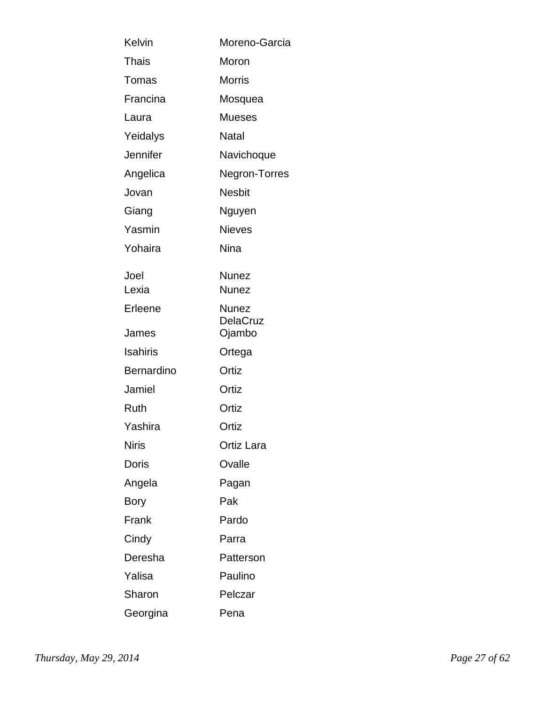| Kelvin            | Moreno-Garcia            |
|-------------------|--------------------------|
| Thais             | Moron                    |
| Tomas             | <b>Morris</b>            |
| Francina          | Mosquea                  |
| Laura             | <b>Mueses</b>            |
| Yeidalys          | Natal                    |
| Jennifer          | Navichoque               |
| Angelica          | Negron-Torres            |
| Jovan             | <b>Nesbit</b>            |
| Giang             | Nguyen                   |
| Yasmin            | <b>Nieves</b>            |
| Yohaira           | <b>Nina</b>              |
| Joel              | <b>Nunez</b>             |
| Lexia             | <b>Nunez</b>             |
| Erleene           | <b>Nunez</b><br>DelaCruz |
| James             | Ojambo                   |
| <b>Isahiris</b>   | Ortega                   |
| <b>Bernardino</b> | Ortiz                    |
| Jamiel            | Ortiz                    |
| <b>Ruth</b>       | Ortiz                    |
| Yashira           | Ortiz                    |
| <b>Niris</b>      | Ortiz Lara               |
| Doris             | Ovalle                   |
| Angela            | Pagan                    |
| Bory              | Pak                      |
| Frank             | Pardo                    |
| Cindy             | Parra                    |
| Deresha           | Patterson                |
| Yalisa            | Paulino                  |
| Sharon            | Pelczar                  |
| Georgina          | Pena                     |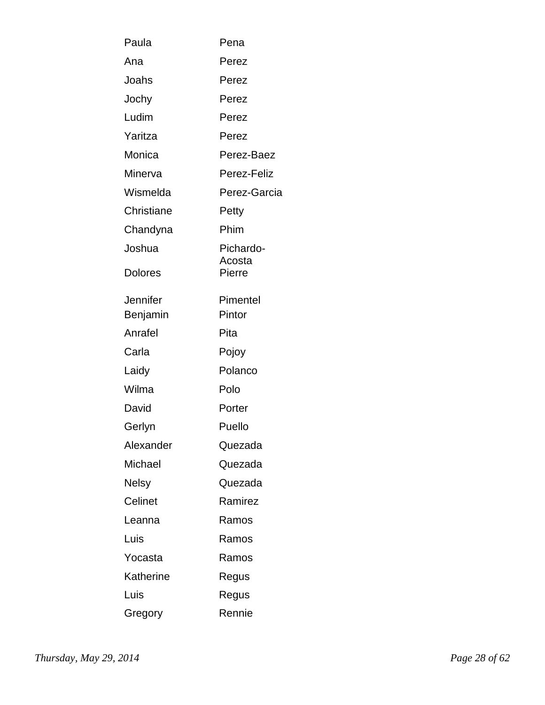| Paula          | Pena             |
|----------------|------------------|
| Ana            | Perez            |
| Joahs          | Perez            |
| Jochy          | Perez            |
| Ludim          | Perez            |
| Yaritza        | Perez            |
| Monica         | Perez-Baez       |
| Minerva        | Perez-Feliz      |
| Wismelda       | Perez-Garcia     |
| Christiane     | Petty            |
| Chandyna       | Phim             |
| Joshua         | Pichardo-        |
| <b>Dolores</b> | Acosta<br>Pierre |
| Jennifer       | Pimentel         |
| Benjamin       | Pintor           |
| Anrafel        | Pita             |
| Carla          | Pojoy            |
| Laidy          | Polanco          |
| Wilma          | Polo             |
| David          | Porter           |
| Gerlyn         | Puello           |
| Alexander      | Quezada          |
| Michael        | Quezada          |
| Nelsy          | Quezada          |
| Celinet        | Ramirez          |
| Leanna         | Ramos            |
| Luis           | Ramos            |
| Yocasta        | Ramos            |
| Katherine      | Regus            |
| Luis           | Regus            |
| Gregory        | Rennie           |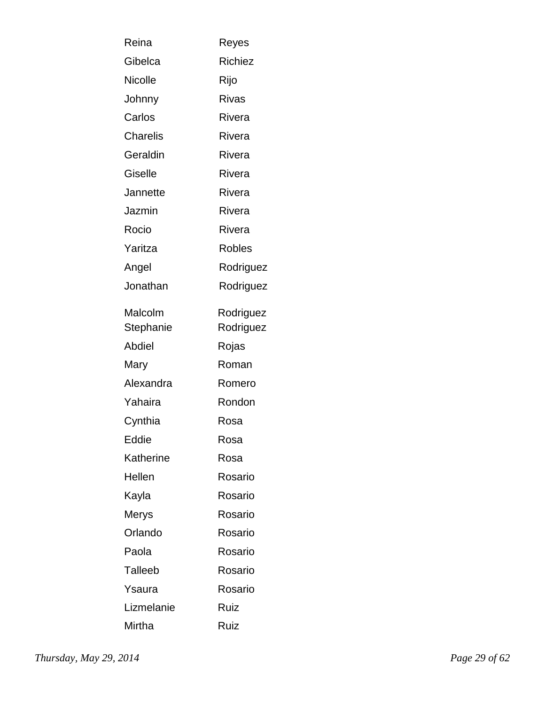| Reina           | Reyes          |
|-----------------|----------------|
| Gibelca         | <b>Richiez</b> |
| <b>Nicolle</b>  | Rijo           |
| Johnny          | Rivas          |
| Carlos          | Rivera         |
| <b>Charelis</b> | Rivera         |
| Geraldin        | Rivera         |
| Giselle         | Rivera         |
| Jannette        | Rivera         |
| Jazmin          | Rivera         |
| Rocio           | Rivera         |
| Yaritza         | Robles         |
| Angel           | Rodriguez      |
| Jonathan        | Rodriguez      |
| Malcolm         | Rodriguez      |
| Stephanie       | Rodriguez      |
| Abdiel          | Rojas          |
| Mary            | Roman          |
| Alexandra       | Romero         |
| Yahaira         | Rondon         |
| Cynthia         | Rosa           |
| Eddie           | Rosa           |
| Katherine       | Rosa           |
| Hellen          | Rosario        |
| Kayla           | Rosario        |
| Merys           | Rosario        |
| Orlando         | Rosario        |
| Paola           | Rosario        |
| Talleeb         | Rosario        |
| Ysaura          | Rosario        |
| Lizmelanie      | Ruiz           |
| Mirtha          | Ruiz           |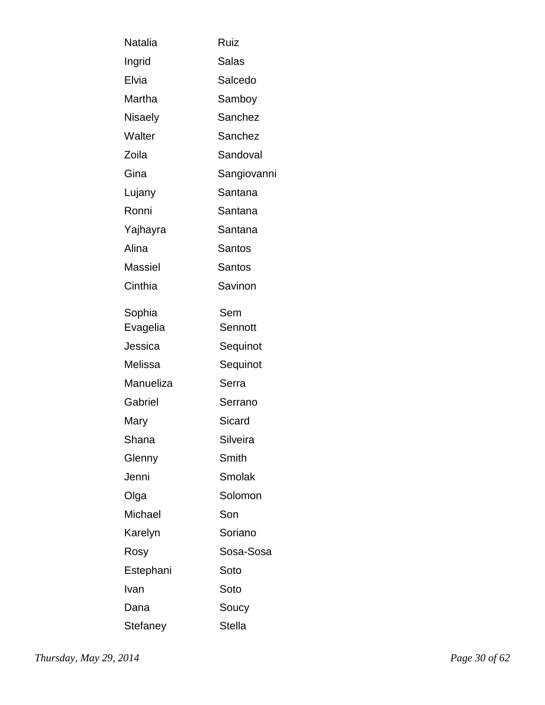| Natalia   | Ruiz          |
|-----------|---------------|
| Ingrid    | Salas         |
| Elvia     | Salcedo       |
| Martha    | Samboy        |
| Nisaely   | Sanchez       |
| Walter    | Sanchez       |
| Zoila     | Sandoval      |
| Gina      | Sangiovanni   |
| Lujany    | Santana       |
| Ronni     | Santana       |
| Yajhayra  | Santana       |
| Alina     | Santos        |
| Massiel   | Santos        |
| Cinthia   | Savinon       |
| Sophia    | Sem           |
| Evagelia  | Sennott       |
| Jessica   | Sequinot      |
| Melissa   | Sequinot      |
| Manueliza | Serra         |
| Gabriel   | Serrano       |
| Mary      | Sicard        |
| Shana     | Silveira      |
| Glenny    | Smith         |
| Jenni     | Smolak        |
| Olga      | Solomon       |
| Michael   | Son           |
| Karelyn   | Soriano       |
| Rosy      | Sosa-Sosa     |
| Estephani | Soto          |
| Ivan      | Soto          |
| Dana      | Soucy         |
| Stefaney  | <b>Stella</b> |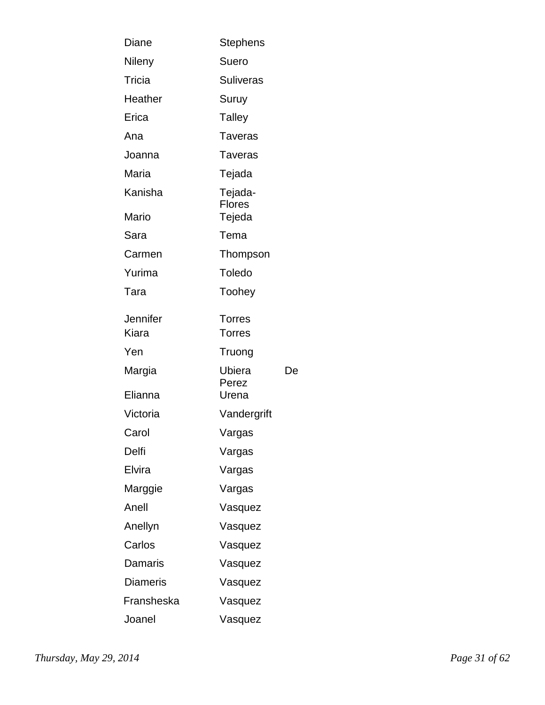| Diane                    | Stephens                       |    |
|--------------------------|--------------------------------|----|
| Nileny                   | Suero                          |    |
| Tricia                   | <b>Suliveras</b>               |    |
| Heather                  | Suruy                          |    |
| Erica                    | <b>Talley</b>                  |    |
| Ana                      | Taveras                        |    |
| Joanna                   | <b>Taveras</b>                 |    |
| Maria                    | Tejada                         |    |
| Kanisha                  | Tejada-<br><b>Flores</b>       |    |
| Mario                    | Tejeda                         |    |
| Sara                     | Tema                           |    |
| Carmen                   | Thompson                       |    |
| Yurima                   | Toledo                         |    |
| Tara                     | Toohey                         |    |
| <b>Jennifer</b><br>Kiara | <b>Torres</b><br><b>Torres</b> |    |
| Yen                      | Truong                         |    |
| Margia                   | Ubiera                         | De |
| Elianna                  | Perez<br>Urena                 |    |
| Victoria                 | Vandergrift                    |    |
| Carol                    | Vargas                         |    |
| Delfi                    | Vargas                         |    |
| Elvira                   | Vargas                         |    |
| Marggie                  | Vargas                         |    |
| Anell                    | Vasquez                        |    |
| Anellyn                  | Vasquez                        |    |
| Carlos                   | Vasquez                        |    |
| Damaris                  | Vasquez                        |    |
| <b>Diameris</b>          | Vasquez                        |    |
| Fransheska               | Vasquez                        |    |
| Joanel                   | Vasquez                        |    |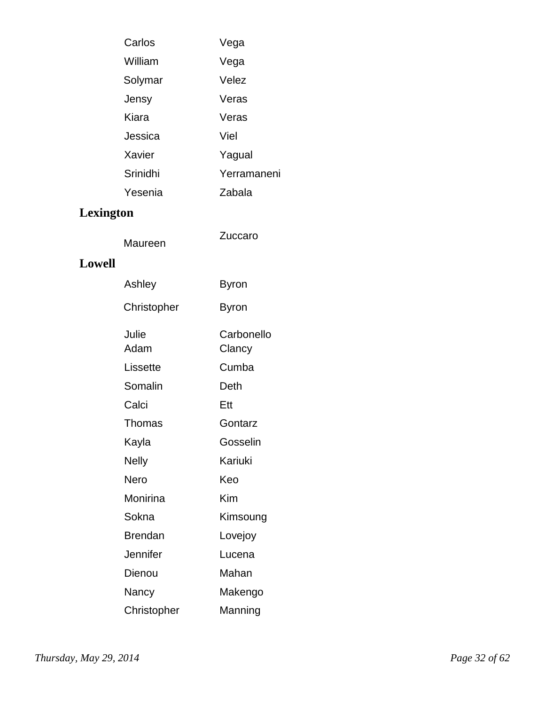| Carlos   | Vega        |
|----------|-------------|
| William  | Vega        |
| Solymar  | Velez       |
| Jensy    | Veras       |
| Kiara    | Veras       |
| Jessica  | Viel        |
| Xavier   | Yagual      |
| Srinidhi | Yerramaneni |
| Yesenia  | Zabala      |

# **Lexington**

### **Lowell**

| Ashley        | Byron                |
|---------------|----------------------|
| Christopher   | Byron                |
| Julie<br>Adam | Carbonello<br>Clancy |
| Lissette      | Cumba                |
| Somalin       | Deth                 |
| Calci         | Ett                  |
| Thomas        | Gontarz              |
| Kayla         | Gosselin             |
| Nelly         | Kariuki              |
| Nero          | Keo                  |
| Monirina      | Kim                  |
| Sokna         | Kimsoung             |
| Brendan       | Lovejoy              |
| Jennifer      | Lucena               |
| Dienou        | Mahan                |
| Nancy         | Makengo              |
| Christopher   | Manning              |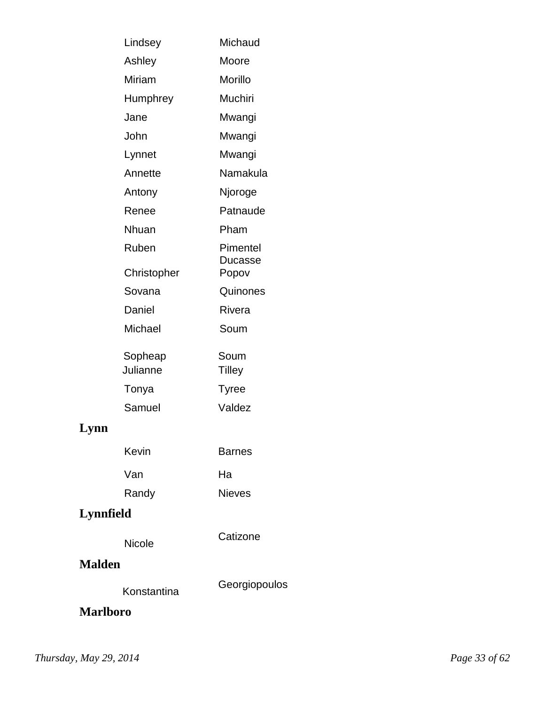| Lindsey     | Michaud             |
|-------------|---------------------|
| Ashley      | Moore               |
| Miriam      | Morillo             |
| Humphrey    | Muchiri             |
| Jane        | Mwangi              |
| John        | Mwangi              |
| Lynnet      | Mwangi              |
| Annette     | Namakula            |
| Antony      | Njoroge             |
| Renee       | Patnaude            |
| Nhuan       | Pham                |
| Ruben       | Pimentel<br>Ducasse |
| Christopher | Popov               |
| Sovana      | Quinones            |
| Daniel      | <b>Rivera</b>       |
| Michael     | Soum                |
| Sopheap     | Soum                |
| Julianne    | <b>Tilley</b>       |
| Tonya       | <b>Tyree</b>        |
| Samuel      | Valdez              |
|             |                     |
| Kevin       | Barnes              |

| Van   | Ha            |
|-------|---------------|
| Randy | <b>Nieves</b> |

# **Lynnfield**

**Lynn**

Nicole

### **Malden**

Konstantina Georgiopoulos

**Catizone** 

**Marlboro**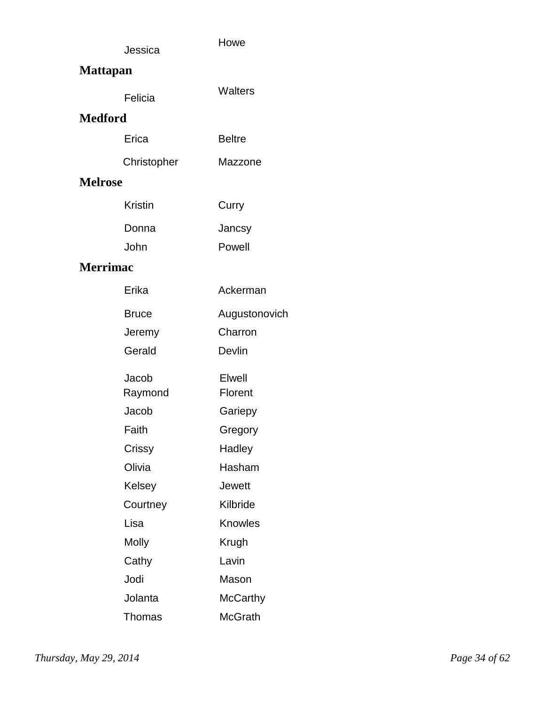|     | Jessica | Howe |
|-----|---------|------|
| . . |         |      |

## **Mattapan**

| Felicia | <b>Walters</b> |
|---------|----------------|
|---------|----------------|

#### **Medford**

| Erica | <b>Beltre</b> |
|-------|---------------|
|       |               |

| Christopher | Mazzone |
|-------------|---------|
|-------------|---------|

### **Melrose**

| Kristin | Curry  |
|---------|--------|
| Donna   | Jancsy |
| John    | Powell |

### **Merrimac**

| Erika        | Ackerman      |
|--------------|---------------|
| <b>Bruce</b> | Augustonovich |
| Jeremy       | Charron       |
| Gerald       | Devlin        |
| Jacob        | Elwell        |
| Raymond      | Florent       |
| Jacob        | Gariepy       |
| Faith        | Gregory       |
| Crissy       | Hadley        |
| Olivia       | Hasham        |
| Kelsey       | Jewett        |
| Courtney     | Kilbride      |
| Lisa         | Knowles       |
| <b>Molly</b> | Krugh         |
| Cathy        | Lavin         |
| Jodi         | Mason         |
| Jolanta      | McCarthy      |
| Thomas       | McGrath       |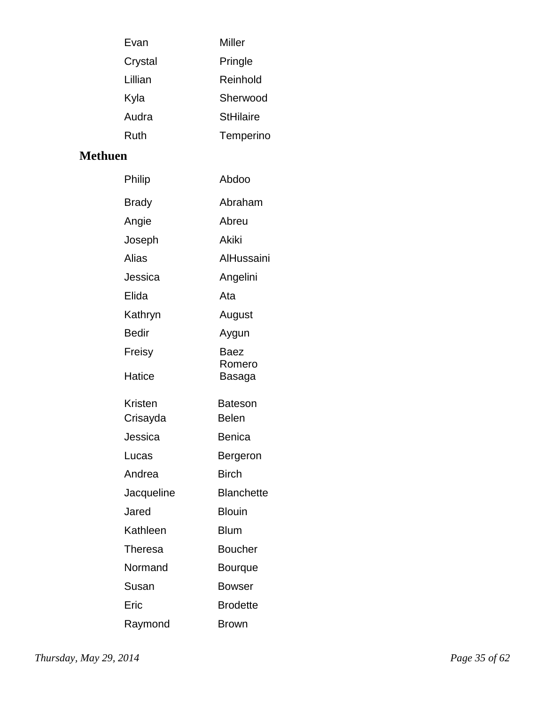| Evan    | Miller           |
|---------|------------------|
| Crystal | Pringle          |
| Lillian | Reinhold         |
| Kyla    | Sherwood         |
| Audra   | <b>StHilaire</b> |
| Ruth    | Temperino        |

### **Methuen**

| Philip         | Abdoo             |
|----------------|-------------------|
| <b>Brady</b>   | Abraham           |
| Angie          | Abreu             |
| Joseph         | <b>Akiki</b>      |
| Alias          | AlHussaini        |
| Jessica        | Angelini          |
| Elida          | Ata               |
| Kathryn        | August            |
| <b>Bedir</b>   | Aygun             |
| Freisy         | Baez              |
| Hatice         | Romero<br>Basaga  |
| <b>Kristen</b> | Bateson           |
| Crisayda       | <b>Belen</b>      |
| Jessica        | Benica            |
| Lucas          | Bergeron          |
| Andrea         | <b>Birch</b>      |
| Jacqueline     | <b>Blanchette</b> |
| Jared          | <b>Blouin</b>     |
| Kathleen       | <b>Blum</b>       |
| <b>Theresa</b> | <b>Boucher</b>    |
| Normand        | Bourque           |
| Susan          | <b>Bowser</b>     |
| Eric           | <b>Brodette</b>   |
| Raymond        | <b>Brown</b>      |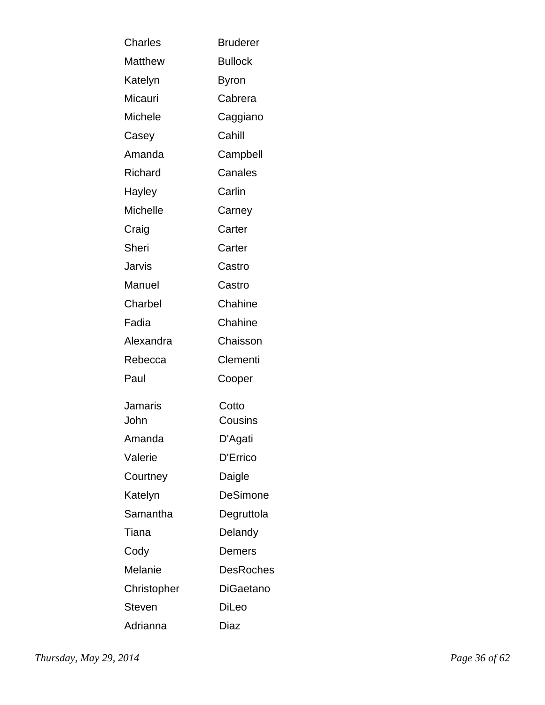| <b>Charles</b> | <b>Bruderer</b>  |
|----------------|------------------|
| Matthew        | <b>Bullock</b>   |
| Katelyn        | <b>Byron</b>     |
| Micauri        | Cabrera          |
| Michele        | Caggiano         |
| Casey          | Cahill           |
| Amanda         | Campbell         |
| Richard        | Canales          |
| Hayley         | Carlin           |
| Michelle       | Carney           |
| Craig          | Carter           |
| Sheri          | Carter           |
| Jarvis         | Castro           |
| Manuel         | Castro           |
| Charbel        | Chahine          |
| Fadia          | Chahine          |
| Alexandra      | Chaisson         |
| Rebecca        | Clementi         |
| Paul           | Cooper           |
| Jamaris        | Cotto            |
| John           | Cousins          |
| Amanda         | D'Agati          |
| Valerie        | D'Errico         |
| Courtney       | Daigle           |
| Katelyn        | DeSimone         |
| Samantha       | Degruttola       |
| Tiana          | Delandy          |
| Cody           | Demers           |
| Melanie        | <b>DesRoches</b> |
| Christopher    | DiGaetano        |
| Steven         | DiLeo            |
| Adrianna       | Diaz             |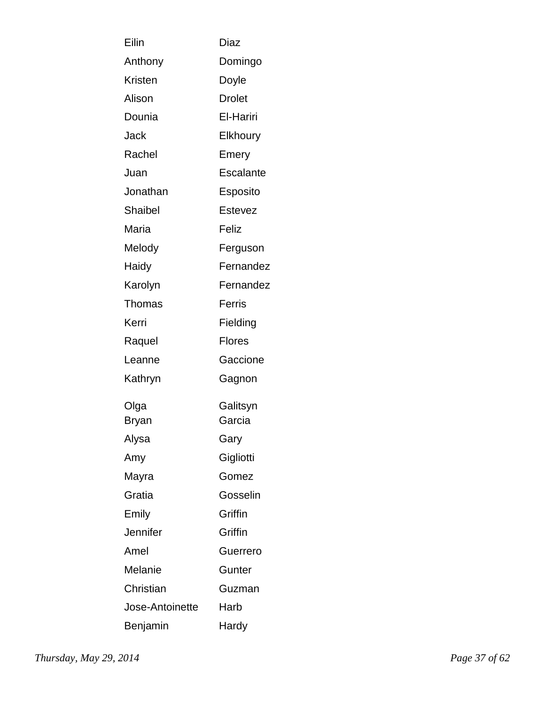| Eilin           | Diaz            |
|-----------------|-----------------|
| Anthony         | Domingo         |
| <b>Kristen</b>  | Doyle           |
| Alison          | <b>Drolet</b>   |
| Dounia          | El-Hariri       |
| Jack            | Elkhoury        |
| Rachel          | Emery           |
| Juan            | Escalante       |
| Jonathan        | Esposito        |
| Shaibel         | Estevez         |
| Maria           | Feliz           |
| Melody          | Ferguson        |
| Haidy           | Fernandez       |
| Karolyn         | Fernandez       |
| Thomas          | Ferris          |
| Kerri           | Fielding        |
| Raquel          | <b>Flores</b>   |
| Leanne          | Gaccione        |
| Kathryn         | Gagnon          |
| Olga            | Galitsyn        |
| Bryan           | Garcia          |
| Alysa           | Gary            |
| Amy             | Gigliotti       |
| Mayra           | Gomez           |
| Gratia          | Gosselin        |
| Emily           | Griffin         |
| Jennifer        | Griffin         |
| Amel            | <b>Guerrero</b> |
| Melanie         | Gunter          |
| Christian       | Guzman          |
| Jose-Antoinette | Harb            |
| Benjamin        | Hardy           |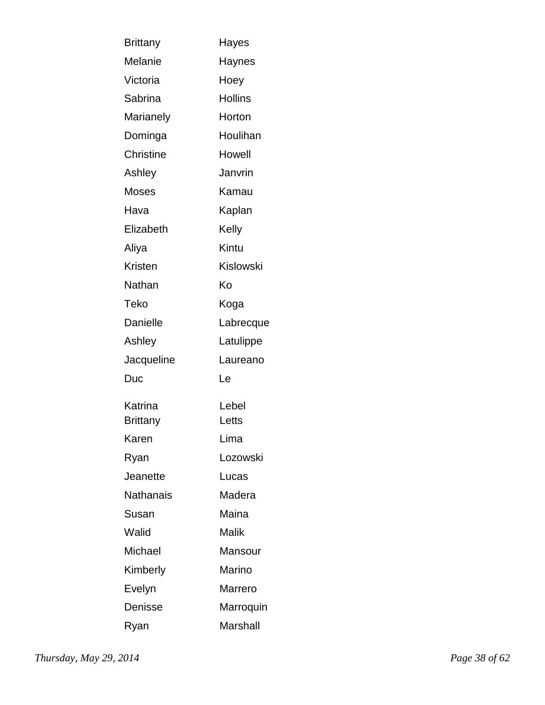| <b>Brittany</b>  | Hayes          |
|------------------|----------------|
| Melanie          | Haynes         |
| Victoria         | Hoey           |
| Sabrina          | <b>Hollins</b> |
| Marianely        | Horton         |
| Dominga          | Houlihan       |
| <b>Christine</b> | Howell         |
| Ashley           | Janvrin        |
| Moses            | Kamau          |
| Hava             | Kaplan         |
| Elizabeth        | Kelly          |
| Aliya            | Kintu          |
| Kristen          | Kislowski      |
| Nathan           | Κo             |
| Teko             | Koga           |
| Danielle         | Labrecque      |
| Ashley           | Latulippe      |
| Jacqueline       | Laureano       |
| Duc              | Le             |
| Katrina          | Lebel          |
| Brittany         | Letts          |
| Karen            | Lima           |
| Ryan             | Lozowski       |
| Jeanette         | Lucas          |
| Nathanais        | Madera         |
| Susan            | Maina          |
| Walid            | Malik          |
| Michael          | Mansour        |
| Kimberly         | Marino         |
| Evelyn           | Marrero        |
| Denisse          | Marroquin      |
| Ryan             | Marshall       |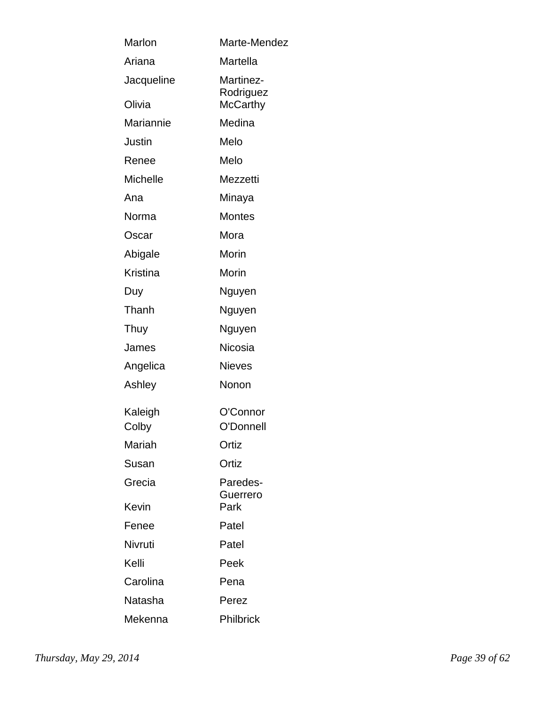| Marlon           | Marte-Mendez                |
|------------------|-----------------------------|
| Ariana           | Martella                    |
| Jacqueline       | Martinez-<br>Rodriguez      |
| Olivia           | <b>McCarthy</b>             |
| Mariannie        | Medina                      |
| Justin           | Melo                        |
| Renee            | Melo                        |
| <b>Michelle</b>  | Mezzetti                    |
| Ana              | Minaya                      |
| Norma            | <b>Montes</b>               |
| Oscar            | Mora                        |
| Abigale          | Morin                       |
| Kristina         | Morin                       |
| Duy              | Nguyen                      |
| Thanh            | Nguyen                      |
| Thuy             | Nguyen                      |
| James            | <b>Nicosia</b>              |
| Angelica         | <b>Nieves</b>               |
| Ashley           | Nonon                       |
| Kaleigh<br>Colby | O'Connor<br>O'Donnell       |
| Mariah           | Ortiz                       |
| Susan            | Ortiz                       |
| Grecia           | Paredes-<br><b>Guerrero</b> |
| Kevin            | Park                        |
| Fenee            | Patel                       |
| Nivruti          | Patel                       |
| Kelli            | Peek                        |
| Carolina         | Pena                        |
| Natasha          | Perez                       |
| Mekenna          | Philbrick                   |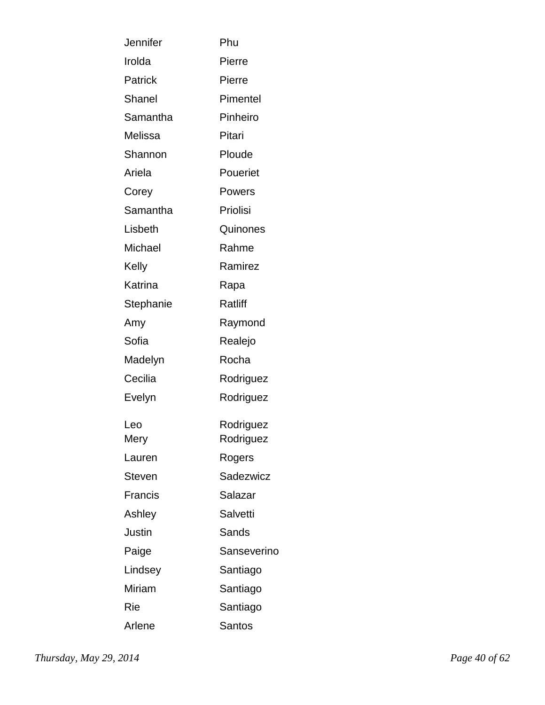| Jennifer      | Phu             |
|---------------|-----------------|
| Irolda        | Pierre          |
| Patrick       | Pierre          |
| <b>Shanel</b> | Pimentel        |
| Samantha      | Pinheiro        |
| Melissa       | Pitari          |
| Shannon       | Ploude          |
| Ariela        | Poueriet        |
| Corey         | Powers          |
| Samantha      | Priolisi        |
| Lisbeth       | Quinones        |
| Michael       | Rahme           |
| Kelly         | Ramirez         |
| Katrina       | Rapa            |
| Stephanie     | <b>Ratliff</b>  |
| Amy           | Raymond         |
| Sofia         | Realejo         |
| Madelyn       | Rocha           |
| Cecilia       | Rodriguez       |
| Evelyn        | Rodriguez       |
| Leo           | Rodriguez       |
| Mery          | Rodriguez       |
| Lauren        | Rogers          |
| <b>Steven</b> | Sadezwicz       |
| Francis       | Salazar         |
| Ashley        | <b>Salvetti</b> |
| Justin        | Sands           |
| Paige         | Sanseverino     |
| Lindsey       | Santiago        |
| Miriam        | Santiago        |
| Rie           | Santiago        |
| Arlene        | <b>Santos</b>   |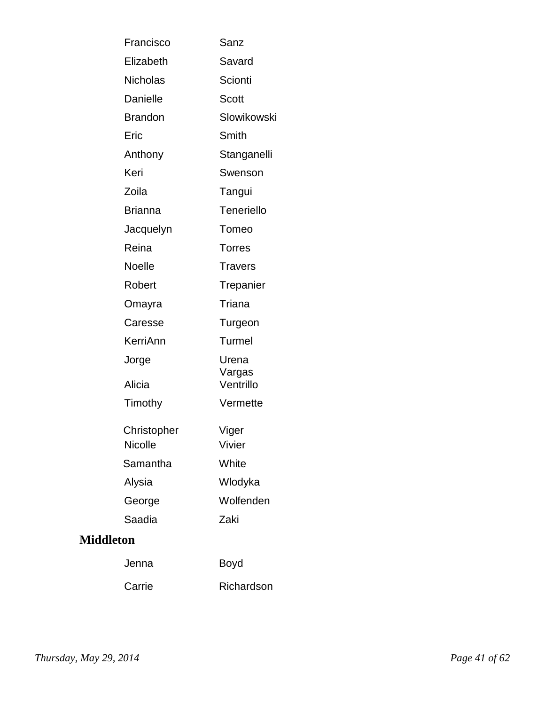| Francisco        | Sanz            |
|------------------|-----------------|
| Elizabeth        | Savard          |
| <b>Nicholas</b>  | Scionti         |
| Danielle         | Scott           |
| <b>Brandon</b>   | Slowikowski     |
| Eric             | Smith           |
| Anthony          | Stanganelli     |
| Keri             | Swenson         |
| Zoila            | Tangui          |
| <b>Brianna</b>   | Teneriello      |
| Jacquelyn        | Tomeo           |
| Reina            | <b>Torres</b>   |
| <b>Noelle</b>    | <b>Travers</b>  |
| Robert           | Trepanier       |
| Omayra           | Triana          |
| Caresse          | Turgeon         |
| KerriAnn         | Turmel          |
| Jorge            | Urena<br>Vargas |
| Alicia           | Ventrillo       |
| Timothy          | Vermette        |
| Christopher      | Viger           |
| <b>Nicolle</b>   | Vivier          |
| Samantha         | White           |
| Alysia           | Wlodyka         |
| George           | Wolfenden       |
| Saadia           | Zaki            |
| <b>Middleton</b> |                 |
| Jenna            | <b>Boyd</b>     |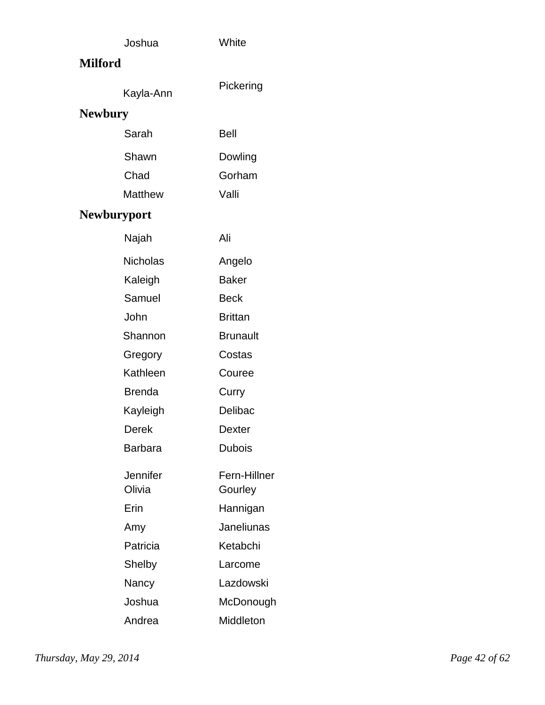| Joshua             | White                   |
|--------------------|-------------------------|
| <b>Milford</b>     |                         |
| Kayla-Ann          | Pickering               |
| <b>Newbury</b>     |                         |
| Sarah              | Bell                    |
| Shawn              | Dowling                 |
| Chad               | Gorham                  |
| <b>Matthew</b>     | Valli                   |
| <b>Newburyport</b> |                         |
| Najah              | Ali                     |
| <b>Nicholas</b>    | Angelo                  |
| Kaleigh            | <b>Baker</b>            |
| Samuel             | Beck                    |
| John               | <b>Brittan</b>          |
| Shannon            | <b>Brunault</b>         |
| Gregory            | Costas                  |
| Kathleen           | Couree                  |
| <b>Brenda</b>      | Curry                   |
| Kayleigh           | <b>Delibac</b>          |
| <b>Derek</b>       | <b>Dexter</b>           |
| <b>Barbara</b>     | <b>Dubois</b>           |
| Jennifer<br>Olivia | Fern-Hillner<br>Gourley |
| Erin               | Hannigan                |
| Amy                | Janeliunas              |
| Patricia           | Ketabchi                |
| Shelby             | Larcome                 |
| Nancy              | Lazdowski               |
| Joshua             | McDonough               |
| Andrea             | Middleton               |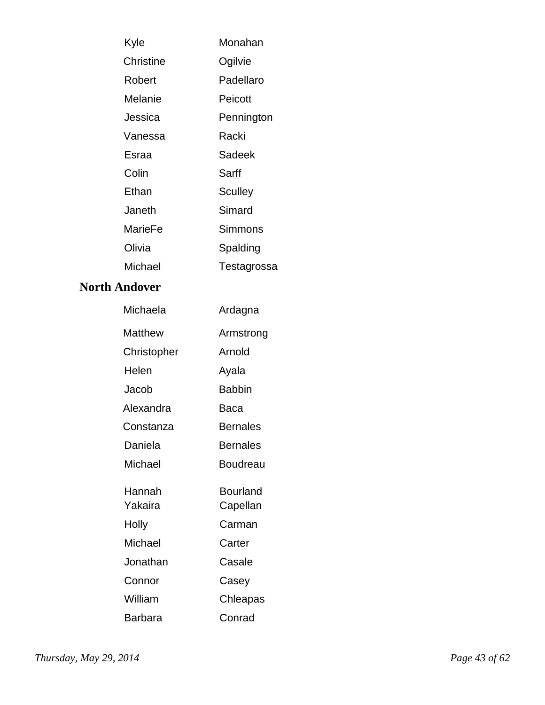| Kyle      | Monahan     |
|-----------|-------------|
| Christine | Ogilvie     |
| Robert    | Padellaro   |
| Melanie   | Peicott     |
| Jessica   | Pennington  |
| Vanessa   | Racki       |
| Esraa     | Sadeek      |
| Colin     | Sarff       |
| Ethan     | Sculley     |
| Janeth    | Simard      |
| MarieFe   | Simmons     |
| Olivia    | Spalding    |
| Michael   | Testagrossa |

#### **North Andover**

| Michaela          | Ardagna              |
|-------------------|----------------------|
| Matthew           | Armstrong            |
| Christopher       | Arnold               |
| Helen             | Ayala                |
| Jacob             | <b>Babbin</b>        |
| Alexandra         | Baca                 |
| Constanza         | <b>Bernales</b>      |
| Daniela           | <b>Bernales</b>      |
| Michael           | Boudreau             |
| Hannah<br>Yakaira | Bourland<br>Capellan |
| Holly             | Carman               |
| Michael           | Carter               |
| Jonathan          | Casale               |
| Connor            | Casey                |
| William           | Chleapas             |
| Barbara           | Conrad               |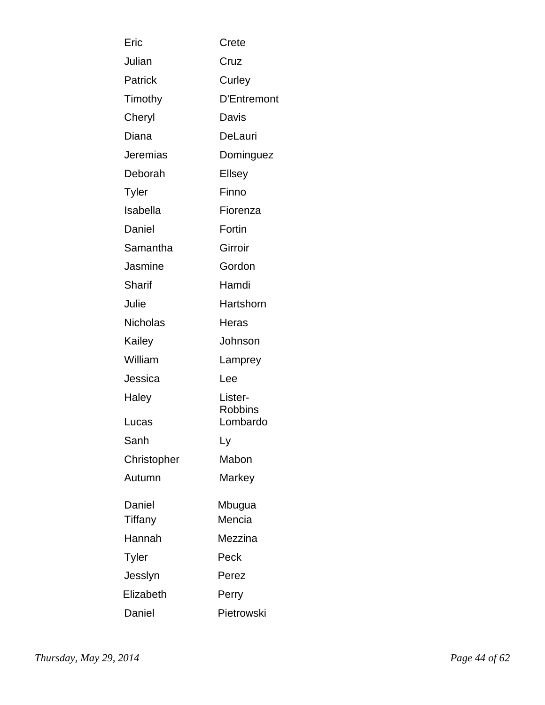| Eric            | Crete              |
|-----------------|--------------------|
| Julian          | Cruz               |
| Patrick         | Curley             |
| Timothy         | <b>D'Entremont</b> |
| Cheryl          | Davis              |
| Diana           | DeLauri            |
| Jeremias        | Dominguez          |
| Deborah         | <b>Ellsey</b>      |
| <b>Tyler</b>    | Finno              |
| Isabella        | Fiorenza           |
| Daniel          | Fortin             |
| Samantha        | Girroir            |
| Jasmine         | Gordon             |
| Sharif          | Hamdi              |
| Julie           | Hartshorn          |
| <b>Nicholas</b> | Heras              |
| Kailey          | Johnson            |
| William         | Lamprey            |
| Jessica         | Lee                |
| Haley           | Lister-<br>Robbins |
| Lucas           | Lombardo           |
| Sanh            | Ly                 |
| Christopher     | Mabon              |
| Autumn          | Markey             |
| Daniel          | Mbugua             |
| Tiffany         | Mencia             |
| Hannah          | Mezzina            |
| <b>Tyler</b>    | Peck               |
| Jesslyn         | Perez              |
| Elizabeth       | Perry              |
| Daniel          | Pietrowski         |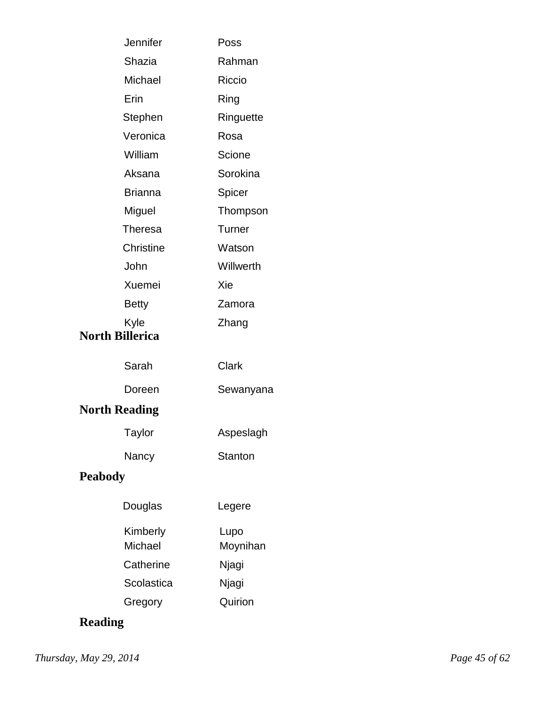| Jennifer                       | Poss             |
|--------------------------------|------------------|
| Shazia                         | Rahman           |
| Michael                        | Riccio           |
| Erin                           | Ring             |
| Stephen                        | Ringuette        |
| Veronica                       | Rosa             |
| William                        | Scione           |
| Aksana                         | Sorokina         |
| <b>Brianna</b>                 | Spicer           |
| Miguel                         | Thompson         |
| Theresa                        | Turner           |
| <b>Christine</b>               | Watson           |
| John                           | Willwerth        |
| Xuemei                         | Xie              |
| <b>Betty</b>                   | Zamora           |
| Kyle<br><b>North Billerica</b> | Zhang            |
| Sarah                          | <b>Clark</b>     |
| Doreen                         | Sewanyana        |
| <b>North Reading</b>           |                  |
| <b>Taylor</b>                  | Aspeslagh        |
| Nancy                          | <b>Stanton</b>   |
| <b>Peabody</b>                 |                  |
| Douglas                        | Legere           |
| Kimberly<br>Michael            | Lupo<br>Moynihan |
| Catherine                      | Njagi            |
| Scolastica                     | Njagi            |
| Gregory                        | Quirion          |

# **Reading**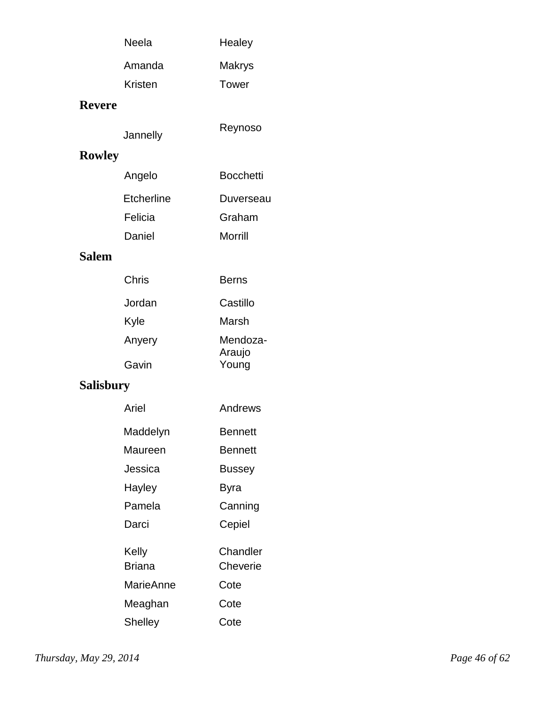| Neela   | Healey        |
|---------|---------------|
| Amanda  | <b>Makrys</b> |
| Kristen | Tower         |
|         |               |

### **Revere**

| Reynoso<br>Jannelly |
|---------------------|
|---------------------|

# **Rowley**

| Angelo     | <b>Bocchetti</b> |
|------------|------------------|
| Etcherline | Duverseau        |
| Felicia    | Graham           |
| Daniel     | Morrill          |

#### **Salem**

| Chris  | Berns    |
|--------|----------|
| Jordan | Castillo |
| Kyle   | Marsh    |
| Anyery | Mendoza- |
|        | Araujo   |
| Gavin  | Young    |

## **Salisbury**

| Ariel                  | Andrews              |
|------------------------|----------------------|
| Maddelyn               | <b>Bennett</b>       |
| Maureen                | Bennett              |
| Jessica                | Bussey               |
| Hayley                 | Byra                 |
| Pamela                 | Canning              |
| Darci                  | Cepiel               |
| Kelly<br><b>Briana</b> | Chandler<br>Cheverie |
| MarieAnne              | Cote                 |
| Meaghan                | Cote                 |
| Shelley                | Cote                 |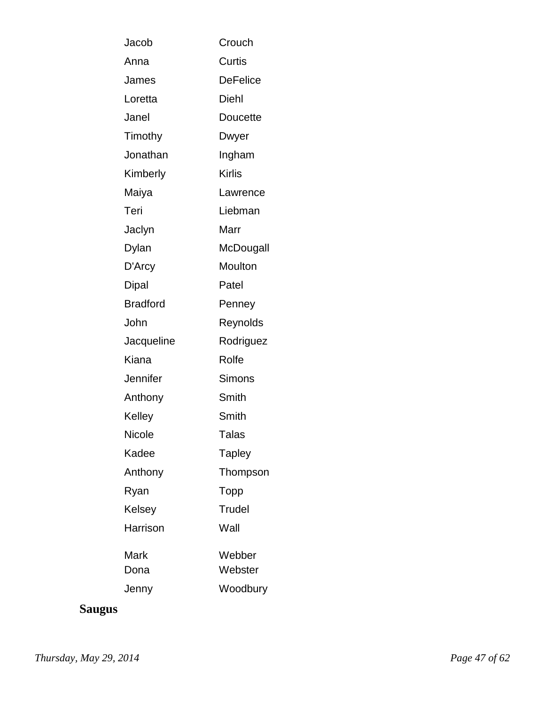| Jacob           | Crouch          |
|-----------------|-----------------|
| Anna            | Curtis          |
| James           | <b>DeFelice</b> |
| Loretta         | Diehl           |
| Janel           | <b>Doucette</b> |
| Timothy         | Dwyer           |
| Jonathan        | Ingham          |
| Kimberly        | Kirlis          |
| Maiya           | Lawrence        |
| Teri            | Liebman         |
| Jaclyn          | Marr            |
| Dylan           | McDougall       |
| D'Arcy          | Moulton         |
| <b>Dipal</b>    | Patel           |
| <b>Bradford</b> | Penney          |
| John            | Reynolds        |
| Jacqueline      | Rodriguez       |
| Kiana           | Rolfe           |
| Jennifer        | Simons          |
| Anthony         | Smith           |
| Kelley          | Smith           |
| Nicole          | Talas           |
| Kadee           | <b>Tapley</b>   |
| Anthony         | Thompson        |
| Ryan            | Topp            |
| Kelsey          | Trudel          |
| Harrison        | Wall            |
| Mark            | Webber          |
| Dona            | Webster         |
| Jenny           | Woodbury        |

# **Saugus**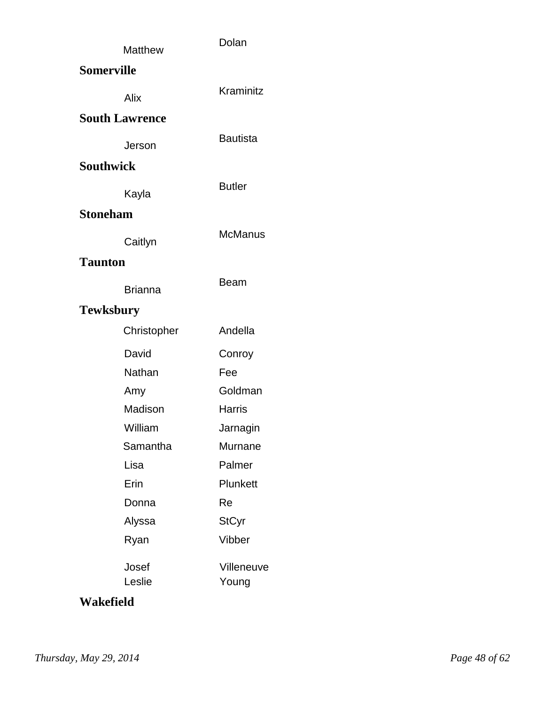|                   | <b>Matthew</b>        | Dolan                      |  |
|-------------------|-----------------------|----------------------------|--|
| <b>Somerville</b> |                       |                            |  |
|                   | Alix                  | Kraminitz                  |  |
|                   | <b>South Lawrence</b> |                            |  |
|                   | Jerson                | <b>Bautista</b>            |  |
| <b>Southwick</b>  |                       |                            |  |
|                   | Kayla                 | <b>Butler</b>              |  |
| <b>Stoneham</b>   |                       |                            |  |
|                   | Caitlyn               | <b>McManus</b>             |  |
| <b>Taunton</b>    |                       |                            |  |
|                   | <b>Brianna</b>        | Beam                       |  |
| <b>Tewksbury</b>  |                       |                            |  |
|                   | Christopher           | Andella                    |  |
|                   | David                 | Conroy                     |  |
|                   | Nathan                | Fee                        |  |
|                   | Amy                   | Goldman                    |  |
|                   | Madison               | <b>Harris</b>              |  |
|                   | William               | Jarnagin                   |  |
|                   | Samantha              | Murnane                    |  |
|                   | Lisa                  | Palmer                     |  |
|                   | Erin                  | Plunkett                   |  |
|                   | Donna                 | Re                         |  |
|                   | Alyssa                | <b>StCyr</b>               |  |
|                   | Ryan                  | Vibber                     |  |
|                   | Josef<br>Leslie       | <b>Villeneuve</b><br>Young |  |

#### **Wakefield**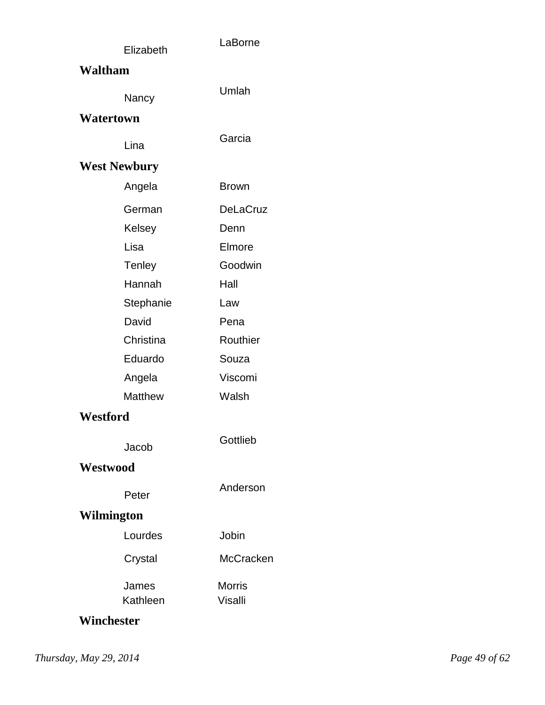|            | Elizabeth           | LaBorne         |  |
|------------|---------------------|-----------------|--|
| Waltham    |                     |                 |  |
|            |                     | Umlah           |  |
|            | Nancy               |                 |  |
| Watertown  |                     |                 |  |
|            | Lina                | Garcia          |  |
|            | <b>West Newbury</b> |                 |  |
|            | Angela              | <b>Brown</b>    |  |
|            | German              | <b>DeLaCruz</b> |  |
|            | Kelsey              | Denn            |  |
|            | Lisa                | Elmore          |  |
|            | Tenley              | Goodwin         |  |
|            | Hannah              | Hall            |  |
|            | Stephanie           | Law             |  |
|            | David               | Pena            |  |
|            | Christina           | Routhier        |  |
|            | Eduardo             | Souza           |  |
|            | Angela              | Viscomi         |  |
|            | <b>Matthew</b>      | Walsh           |  |
| Westford   |                     |                 |  |
|            | Jacob               | Gottlieb        |  |
| Westwood   |                     |                 |  |
|            | Peter               | Anderson        |  |
| Wilmington |                     |                 |  |
|            | Lourdes             | Jobin           |  |
|            | Crystal             | McCracken       |  |
|            | James               | <b>Morris</b>   |  |
|            | Kathleen            | Visalli         |  |
| Winchester |                     |                 |  |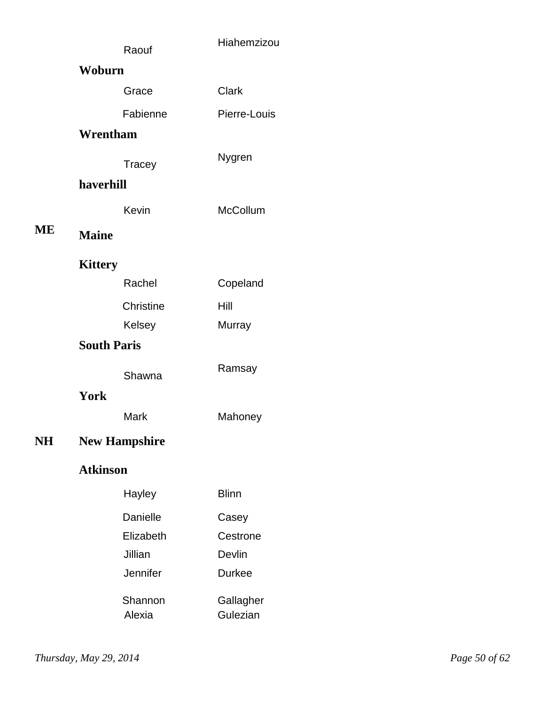|    |                      | Raouf             | Hiahemzizou           |
|----|----------------------|-------------------|-----------------------|
|    | Woburn               |                   |                       |
|    |                      | Grace             | Clark                 |
|    |                      | Fabienne          | Pierre-Louis          |
|    | Wrentham             |                   |                       |
|    |                      | Tracey            | Nygren                |
|    | haverhill            |                   |                       |
|    |                      | Kevin             | <b>McCollum</b>       |
| ME | <b>Maine</b>         |                   |                       |
|    | <b>Kittery</b>       |                   |                       |
|    |                      | Rachel            | Copeland              |
|    |                      | Christine         | Hill                  |
|    |                      | Kelsey            | Murray                |
|    | <b>South Paris</b>   |                   |                       |
|    |                      | Shawna            | Ramsay                |
|    | York                 |                   |                       |
|    |                      | Mark              | Mahoney               |
| NH | <b>New Hampshire</b> |                   |                       |
|    | <b>Atkinson</b>      |                   |                       |
|    |                      | Hayley            | <b>Blinn</b>          |
|    |                      | Danielle          | Casey                 |
|    |                      | Elizabeth         | Cestrone              |
|    |                      | Jillian           | Devlin                |
|    |                      | Jennifer          | <b>Durkee</b>         |
|    |                      | Shannon<br>Alexia | Gallagher<br>Gulezian |
|    |                      |                   |                       |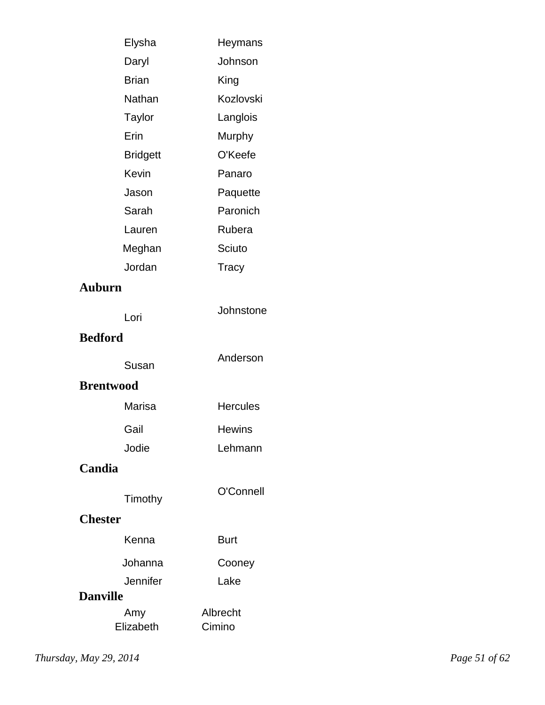| Elysha           | Heymans         |
|------------------|-----------------|
| Daryl            | Johnson         |
| <b>Brian</b>     | King            |
| Nathan           | Kozlovski       |
| Taylor           | Langlois        |
| Erin             | Murphy          |
| <b>Bridgett</b>  | O'Keefe         |
| Kevin            | Panaro          |
| Jason            | Paquette        |
| Sarah            | Paronich        |
| Lauren           | Rubera          |
| Meghan           | Sciuto          |
| Jordan           | Tracy           |
| <b>Auburn</b>    |                 |
| Lori             | Johnstone       |
| <b>Bedford</b>   |                 |
| Susan            | Anderson        |
| <b>Brentwood</b> |                 |
| Marisa           | <b>Hercules</b> |
| Gail             | <b>Hewins</b>   |
| Jodie            | Lehmann         |
| Candia           |                 |
|                  | O'Connell       |
| Timothy          |                 |
| <b>Chester</b>   |                 |
| Kenna            | <b>Burt</b>     |
| Johanna          | Cooney          |
| Jennifer         | Lake            |
| <b>Danville</b>  |                 |
| Amy              | Albrecht        |
| Elizabeth        | Cimino          |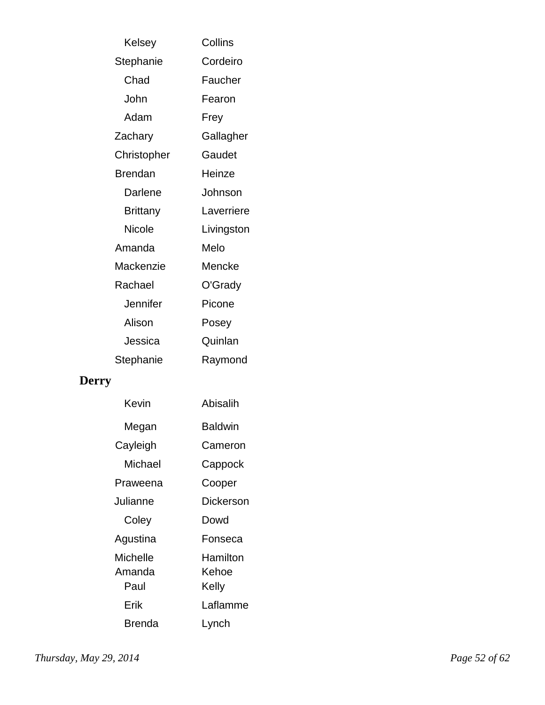| Kelsey          | Collins    |
|-----------------|------------|
| Stephanie       | Cordeiro   |
| Chad            | Faucher    |
| John            | Fearon     |
| Adam            | Frey       |
| Zachary         | Gallagher  |
| Christopher     | Gaudet     |
| <b>Brendan</b>  | Heinze     |
| Darlene         | Johnson    |
| <b>Brittany</b> | Laverriere |
| Nicole          | Livingston |
| Amanda          | Melo       |
| Mackenzie       | Mencke     |
| Rachael         | O'Grady    |
| Jennifer        | Picone     |
| Alison          | Posey      |
| Jessica         | Quinlan    |
| Stephanie       | Raymond    |
|                 |            |
|                 |            |

# **Derry**

| Kevin                      | Abisalih                   |
|----------------------------|----------------------------|
| Megan                      | <b>Baldwin</b>             |
| Cayleigh                   | Cameron                    |
| Michael                    | Cappock                    |
| Praweena                   | Cooper                     |
| Julianne                   | Dickerson                  |
| Coley                      | Dowd                       |
| Agustina                   | Fonseca                    |
| Michelle<br>Amanda<br>Paul | Hamilton<br>Kehoe<br>Kelly |
| Erik                       | Laflamme                   |
| Brenda                     | Lynch                      |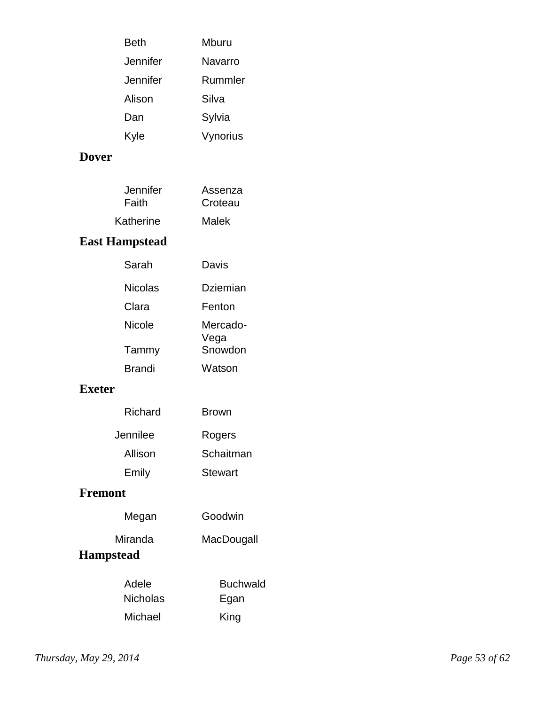| Beth     | Mburu    |
|----------|----------|
| Jennifer | Navarro  |
| Jennifer | Rummler  |
| Alison   | Silva    |
| Dan      | Sylvia   |
| Kyle     | Vynorius |

### **Dover**

| Jennifer  | Assenza |
|-----------|---------|
| Faith     | Croteau |
| Katherine | Malek   |

## **East Hampstead**

| Sarah          | Davis            |
|----------------|------------------|
| <b>Nicolas</b> | Dziemian         |
| Clara          | Fenton           |
| <b>Nicole</b>  | Mercado-<br>Vega |
| Tammy          | Snowdon          |
| <b>Brandi</b>  | Watson           |

### **Exeter**

| Richard  | <b>Brown</b> |
|----------|--------------|
| Jennilee | Rogers       |
| Allison  | Schaitman    |
| Emily    | Stewart      |

### **Fremont**

| Megan                       | Goodwin    |
|-----------------------------|------------|
| Miranda<br><b>Hampstead</b> | MacDougall |
|                             |            |

| Adele    | <b>Buchwald</b> |
|----------|-----------------|
| Nicholas | Egan            |
| Michael  | King            |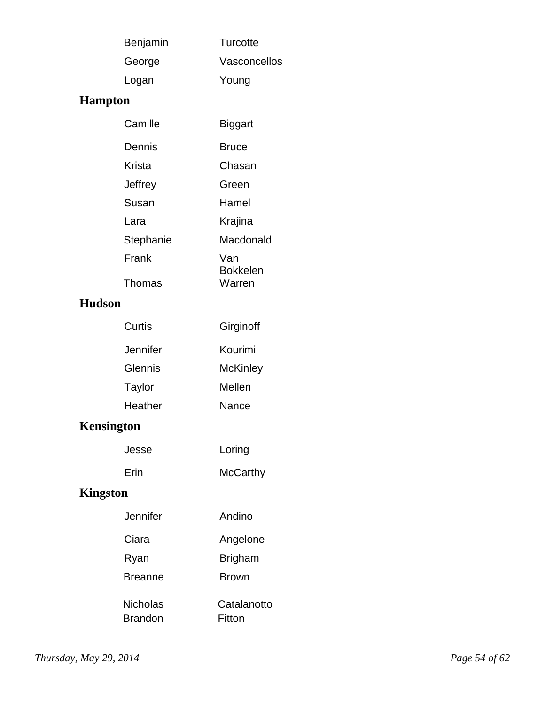| Benjamin | Turcotte     |
|----------|--------------|
| George   | Vasconcellos |
| Logan    | Young        |

## **Hampton**

| Camille         | Biggart                   |
|-----------------|---------------------------|
| Dennis          | <b>Bruce</b>              |
| Krista          | Chasan                    |
| Jeffrey         | Green                     |
| Susan           | Hamel                     |
| Lara            | Krajina                   |
| Stephanie       | Macdonald                 |
| Frank<br>Thomas | Van<br>Bokkelen<br>Warren |
|                 |                           |

### **Hudson**

| Curtis   | Girginoff |
|----------|-----------|
| Jennifer | Kourimi   |
| Glennis  | McKinley  |
| Taylor   | Mellen    |
| Heather  | Nance     |

# **Kensington**

| Jesse | Loring          |
|-------|-----------------|
| Erin  | <b>McCarthy</b> |

# **Kingston**

| Jennifer        | Andino         |
|-----------------|----------------|
| Ciara           | Angelone       |
| Ryan            | <b>Brigham</b> |
| <b>Breanne</b>  | <b>Brown</b>   |
| <b>Nicholas</b> | Catalanotto    |
| Brandon         | Fitton         |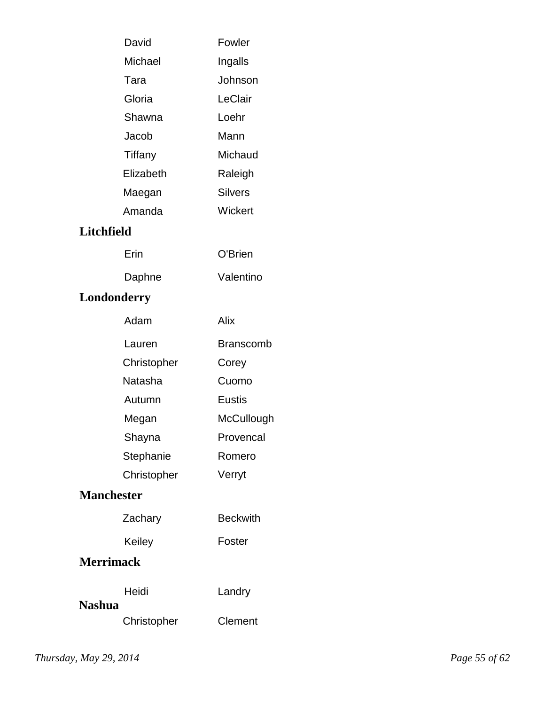| David             | Fowler         |  |
|-------------------|----------------|--|
| Michael           | Ingalls        |  |
| Tara              | Johnson        |  |
| Gloria            | LeClair        |  |
| Shawna            | Loehr          |  |
| Jacob             | Mann           |  |
| Tiffany           | Michaud        |  |
| Elizabeth         | Raleigh        |  |
| Maegan            | <b>Silvers</b> |  |
| Amanda            | Wickert        |  |
| <b>Litchfield</b> |                |  |
| Erin              | O'Brien        |  |
| Daphne            | Valentino      |  |
| Londonderry       |                |  |

| Adam        | Alix       |
|-------------|------------|
| Lauren      | Branscomb  |
| Christopher | Corey      |
| Natasha     | Cuomo      |
| Autumn      | Fustis     |
| Megan       | McCullough |
| Shayna      | Provencal  |
| Stephanie   | Romero     |
| Christopher | Verryt     |

### **Manchester**

| Zachary | <b>Beckwith</b> |  |
|---------|-----------------|--|
|         |                 |  |

**Keiley** Foster

## **Merrimack**

|               | Heidi       | Landry  |
|---------------|-------------|---------|
| <b>Nashua</b> |             |         |
|               | Christopher | Clement |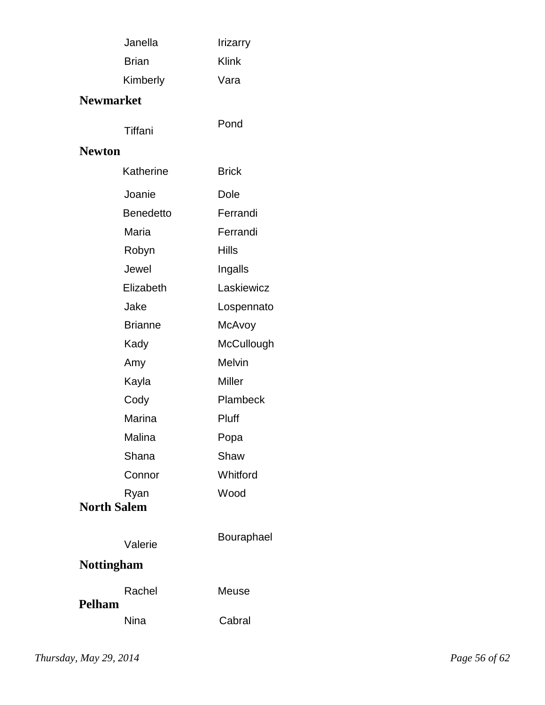|                                    | Janella                      | <b>Irizarry</b> |
|------------------------------------|------------------------------|-----------------|
|                                    | <b>Klink</b><br><b>Brian</b> |                 |
|                                    | Kimberly                     | Vara            |
| <b>Newmarket</b>                   |                              |                 |
| Tiffani                            |                              | Pond            |
| <b>Newton</b>                      |                              |                 |
|                                    | Katherine                    | <b>Brick</b>    |
| Joanie                             |                              | Dole            |
|                                    | <b>Benedetto</b>             | Ferrandi        |
| Maria                              |                              | Ferrandi        |
| Robyn                              |                              | <b>Hills</b>    |
| Jewel                              |                              | Ingalls         |
|                                    | Elizabeth                    | Laskiewicz      |
| Jake                               |                              | Lospennato      |
|                                    | <b>Brianne</b>               | McAvoy          |
| Kady                               |                              | McCullough      |
| Amy                                |                              | <b>Melvin</b>   |
| Kayla                              |                              | <b>Miller</b>   |
| Cody                               |                              | Plambeck        |
|                                    | Marina                       | Pluff           |
| Malina                             |                              | Popa            |
| Shana                              |                              | Shaw            |
|                                    | Connor                       | Whitford        |
| Wood<br>Ryan<br><b>North Salem</b> |                              |                 |
|                                    | Valerie                      | Bouraphael      |
| <b>Nottingham</b>                  |                              |                 |
| Pelham                             | Rachel                       | Meuse           |
| <b>Nina</b>                        |                              | Cabral          |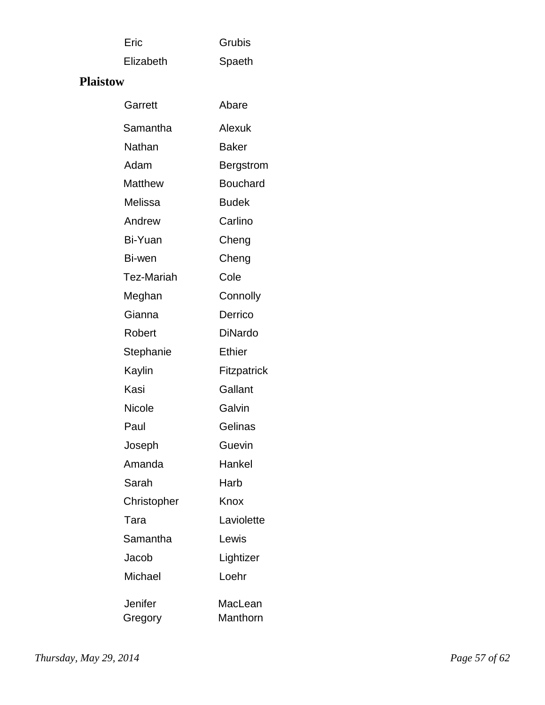| Eric | Grubis |
|------|--------|
|      |        |

Elizabeth Spaeth

### **Plaistow**

| Garrett        | Abare           |
|----------------|-----------------|
| Samantha       | Alexuk          |
| Nathan         | Baker           |
| Adam           | Bergstrom       |
| <b>Matthew</b> | <b>Bouchard</b> |
| Melissa        | <b>Budek</b>    |
| Andrew         | Carlino         |
| Bi-Yuan        | Cheng           |
| Bi-wen         | Cheng           |
| Tez-Mariah     | Cole            |
| Meghan         | Connolly        |
| Gianna         | Derrico         |
| Robert         | DiNardo         |
| Stephanie      | <b>Ethier</b>   |
| Kaylin         | Fitzpatrick     |
| Kasi           | Gallant         |
| <b>Nicole</b>  | Galvin          |
| Paul           | Gelinas         |
| Joseph         | Guevin          |
| Amanda         | Hankel          |
| Sarah          | Harb            |
| Christopher    | Knox            |
| Tara           | Laviolette      |
| Samantha       | Lewis           |
| Jacob          | Lightizer       |
| Michael        | Loehr           |
| Jenifer        | MacLean         |
| Gregory        | Manthorn        |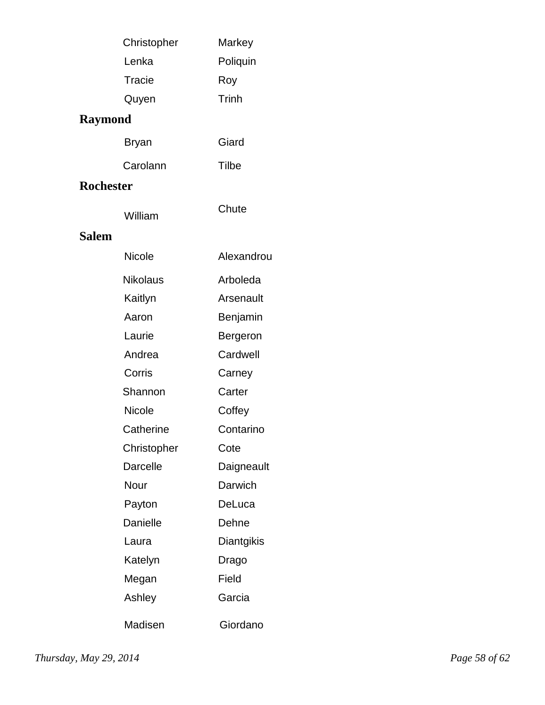|                  | Christopher     | Markey     |
|------------------|-----------------|------------|
|                  | Lenka           | Poliquin   |
|                  | Tracie          | Roy        |
|                  | Quyen           | Trinh      |
| <b>Raymond</b>   |                 |            |
|                  | Bryan           | Giard      |
|                  | Carolann        | Tilbe      |
| <b>Rochester</b> |                 |            |
|                  | William         | Chute      |
| <b>Salem</b>     |                 |            |
|                  | <b>Nicole</b>   | Alexandrou |
|                  | <b>Nikolaus</b> | Arboleda   |
|                  | Kaitlyn         | Arsenault  |
|                  | Aaron           | Benjamin   |
|                  | Laurie          | Bergeron   |
|                  | Andrea          | Cardwell   |
|                  | Corris          | Carney     |
|                  | Shannon         | Carter     |
|                  | <b>Nicole</b>   | Coffey     |
|                  | Catherine       | Contarino  |
|                  | Christopher     | Cote       |
|                  | <b>Darcelle</b> | Daigneault |
|                  | Nour            | Darwich    |
|                  | Payton          | DeLuca     |
|                  | <b>Danielle</b> | Dehne      |
|                  | Laura           | Diantgikis |
|                  | Katelyn         | Drago      |
|                  | Megan           | Field      |
|                  | Ashley          | Garcia     |
|                  | Madisen         | Giordano   |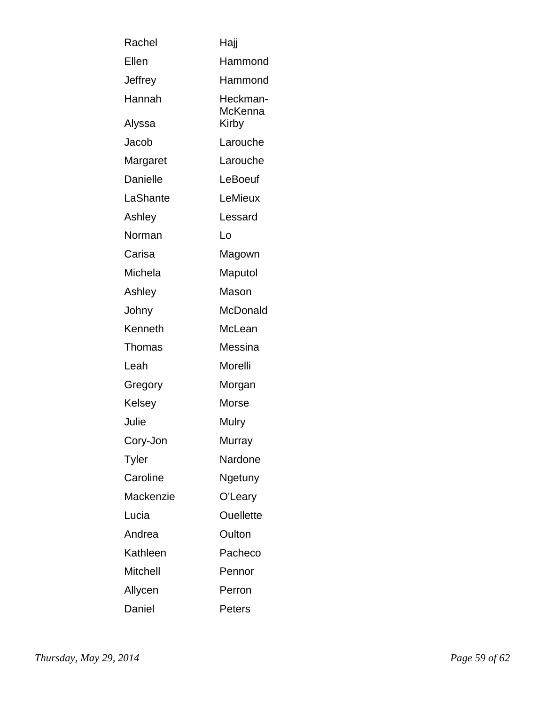| Rachel          | Haji                |
|-----------------|---------------------|
| Ellen           | Hammond             |
| Jeffrey         | Hammond             |
| Hannah          | Heckman-<br>McKenna |
| Alyssa          | Kirby               |
| Jacob           | Larouche            |
| Margaret        | Larouche            |
| <b>Danielle</b> | LeBoeuf             |
| LaShante        | LeMieux             |
| Ashley          | Lessard             |
| Norman          | Lo                  |
| Carisa          | Magown              |
| Michela         | Maputol             |
| Ashley          | Mason               |
| Johny           | McDonald            |
| Kenneth         | McLean              |
| Thomas          | Messina             |
| Leah            | Morelli             |
| Gregory         | Morgan              |
| Kelsey          | Morse               |
| Julie           | Mulry               |
| Cory-Jon        | Murray              |
| Tyler           | Nardone             |
| Caroline        | Ngetuny             |
| Mackenzie       | O'Leary             |
| Lucia           | <b>Ouellette</b>    |
| Andrea          | Oulton              |
| Kathleen        | Pacheco             |
| Mitchell        | Pennor              |
| Allycen         | Perron              |
| Daniel          | Peters              |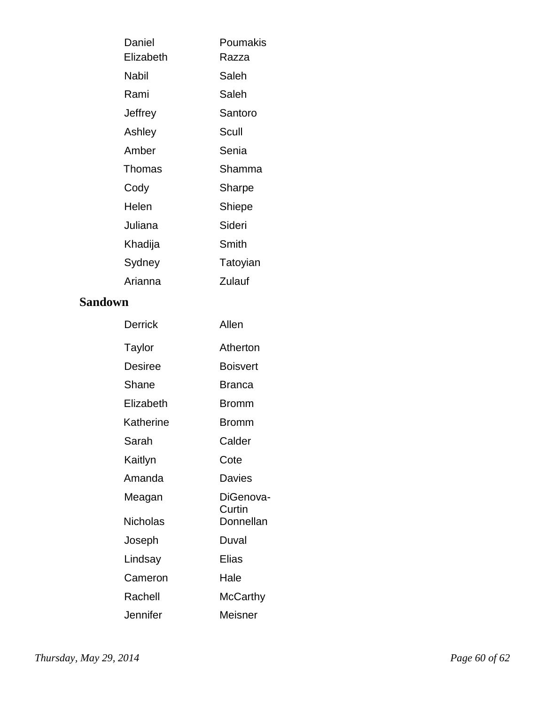| Daniel    | Poumakis |  |
|-----------|----------|--|
| Elizabeth | Razza    |  |
| Nabil     | Saleh    |  |
| Rami      | Saleh    |  |
| Jeffrey   | Santoro  |  |
| Ashley    | Scull    |  |
| Amber     | Senia    |  |
| Thomas    | Shamma   |  |
| Cody      | Sharpe   |  |
| Helen     | Shiepe   |  |
| Juliana   | Sideri   |  |
| Khadija   | Smith    |  |
| Sydney    | Tatoyian |  |
| Arianna   | Zulauf   |  |

#### **Sandown**

| Derrick   | Allen               |  |
|-----------|---------------------|--|
| Taylor    | Atherton            |  |
| Desiree   | <b>Boisvert</b>     |  |
| Shane     | <b>Branca</b>       |  |
| Elizabeth | <b>Bromm</b>        |  |
| Katherine | Bromm               |  |
| Sarah     | Calder              |  |
| Kaitlyn   | Cote                |  |
| Amanda    | Davies              |  |
| Meagan    | DiGenova-           |  |
| Nicholas  | Curtin<br>Donnellan |  |
| Joseph    | Duval               |  |
| Lindsay   | Elias               |  |
| Cameron   | Hale                |  |
| Rachell   | <b>McCarthy</b>     |  |
| Jennifer  | Meisner             |  |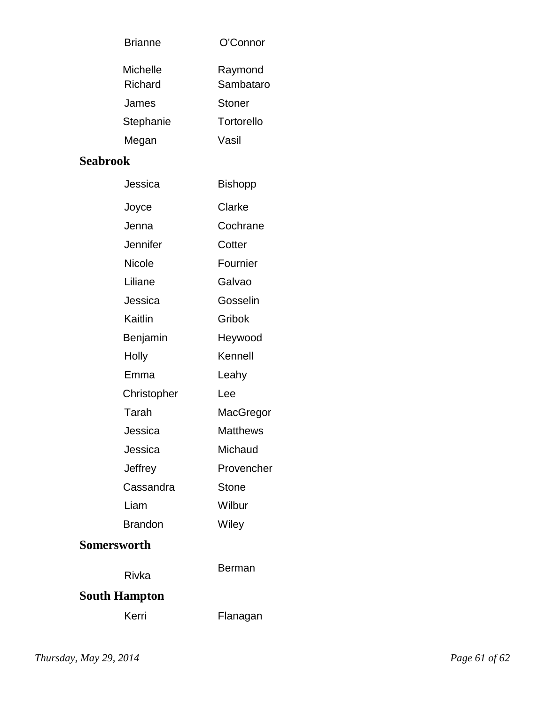| O'Connor             |  |  |  |  |  |
|----------------------|--|--|--|--|--|
| Raymond<br>Sambataro |  |  |  |  |  |
| Stoner               |  |  |  |  |  |
| Tortorello           |  |  |  |  |  |
| Vasil                |  |  |  |  |  |
| <b>Seabrook</b>      |  |  |  |  |  |
| <b>Bishopp</b>       |  |  |  |  |  |
|                      |  |  |  |  |  |

| Joyce          | Clarke          |  |  |  |
|----------------|-----------------|--|--|--|
| Jenna          | Cochrane        |  |  |  |
| Jennifer       | Cotter          |  |  |  |
| Nicole         | Fournier        |  |  |  |
| Liliane        | Galvao          |  |  |  |
| Jessica        | Gosselin        |  |  |  |
| Kaitlin        | Gribok          |  |  |  |
| Benjamin       | Heywood         |  |  |  |
| Holly          | Kennell         |  |  |  |
| Emma           | Leahy           |  |  |  |
| Christopher    | Lee             |  |  |  |
| Tarah          | MacGregor       |  |  |  |
| Jessica        | <b>Matthews</b> |  |  |  |
| Jessica        | Michaud         |  |  |  |
| Jeffrey        | Provencher      |  |  |  |
| Cassandra      | <b>Stone</b>    |  |  |  |
| Liam           | Wilbur          |  |  |  |
| <b>Brandon</b> | Wiley           |  |  |  |
| rsworth        |                 |  |  |  |
|                |                 |  |  |  |

## **Somer**

Rivka **South Hampton** Berman Kerri Flanagan